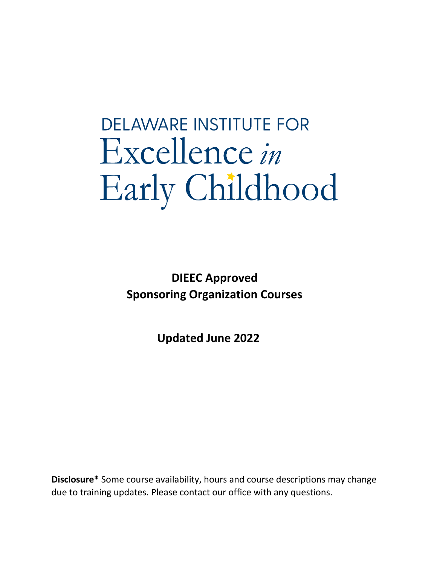# **DELAWARE INSTITUTE FOR** Excellence in Early Childhood

**DIEEC Approved Sponsoring Organization Courses** 

**Updated June 2022**

**Disclosure\*** Some course availability, hours and course descriptions may change due to training updates. Please contact our office with any questions.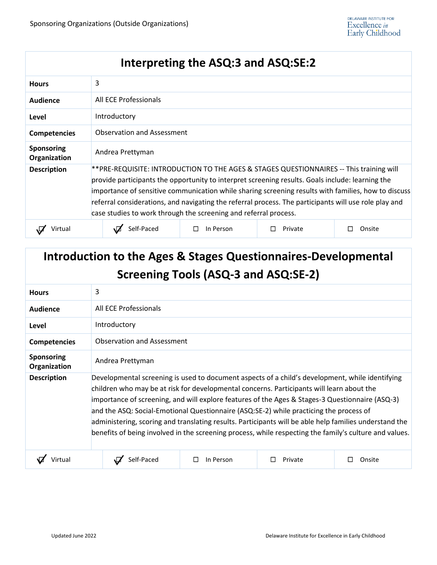### **Interpreting the ASQ:3 and ASQ:SE:2**

| <b>Hours</b>                      | 3                                                                                                                                                                                                                                                                                                                                                                                                                                                                               |                     |         |        |  |
|-----------------------------------|---------------------------------------------------------------------------------------------------------------------------------------------------------------------------------------------------------------------------------------------------------------------------------------------------------------------------------------------------------------------------------------------------------------------------------------------------------------------------------|---------------------|---------|--------|--|
| <b>Audience</b>                   | All ECE Professionals                                                                                                                                                                                                                                                                                                                                                                                                                                                           |                     |         |        |  |
| Level                             | Introductory                                                                                                                                                                                                                                                                                                                                                                                                                                                                    |                     |         |        |  |
| <b>Competencies</b>               | <b>Observation and Assessment</b>                                                                                                                                                                                                                                                                                                                                                                                                                                               |                     |         |        |  |
| <b>Sponsoring</b><br>Organization | Andrea Prettyman                                                                                                                                                                                                                                                                                                                                                                                                                                                                |                     |         |        |  |
| <b>Description</b>                | **PRE-REQUISITE: INTRODUCTION TO THE AGES & STAGES QUESTIONNAIRES -- This training will<br>provide participants the opportunity to interpret screening results. Goals include: learning the<br>importance of sensitive communication while sharing screening results with families, how to discuss<br>referral considerations, and navigating the referral process. The participants will use role play and<br>case studies to work through the screening and referral process. |                     |         |        |  |
|                                   | Self-Paced                                                                                                                                                                                                                                                                                                                                                                                                                                                                      | In Person<br>$\Box$ | Private | Onsite |  |

# **Introduction to the Ages & Stages Questionnaires-Developmental Screening Tools (ASQ-3 and ASQ:SE-2)**

| <b>Hours</b>                      | 3                                                                                                                                                                                                                                                                                                                                                                                                                                                                                                                                                                                                             |                |         |        |  |  |
|-----------------------------------|---------------------------------------------------------------------------------------------------------------------------------------------------------------------------------------------------------------------------------------------------------------------------------------------------------------------------------------------------------------------------------------------------------------------------------------------------------------------------------------------------------------------------------------------------------------------------------------------------------------|----------------|---------|--------|--|--|
| Audience                          | All ECE Professionals                                                                                                                                                                                                                                                                                                                                                                                                                                                                                                                                                                                         |                |         |        |  |  |
| Level                             | Introductory                                                                                                                                                                                                                                                                                                                                                                                                                                                                                                                                                                                                  |                |         |        |  |  |
| <b>Competencies</b>               | <b>Observation and Assessment</b>                                                                                                                                                                                                                                                                                                                                                                                                                                                                                                                                                                             |                |         |        |  |  |
| <b>Sponsoring</b><br>Organization | Andrea Prettyman                                                                                                                                                                                                                                                                                                                                                                                                                                                                                                                                                                                              |                |         |        |  |  |
| <b>Description</b>                | Developmental screening is used to document aspects of a child's development, while identifying<br>children who may be at risk for developmental concerns. Participants will learn about the<br>importance of screening, and will explore features of the Ages & Stages-3 Questionnaire (ASQ-3)<br>and the ASQ: Social-Emotional Questionnaire (ASQ:SE-2) while practicing the process of<br>administering, scoring and translating results. Participants will be able help families understand the<br>benefits of being involved in the screening process, while respecting the family's culture and values. |                |         |        |  |  |
|                                   | Self-Paced                                                                                                                                                                                                                                                                                                                                                                                                                                                                                                                                                                                                    | In Person<br>П | Private | Onsite |  |  |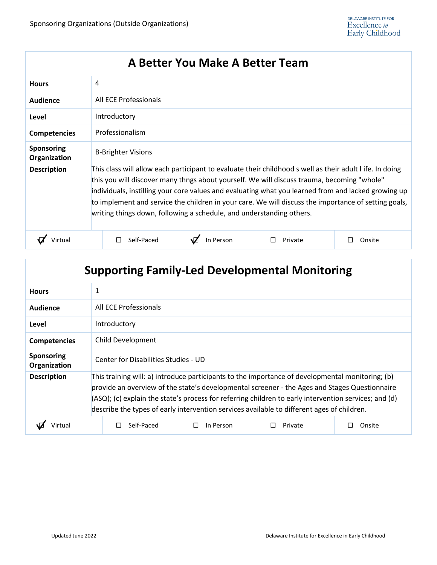### **A Better You Make A Better Team**

| <b>Hours</b>                      | 4                                                                                                                                                                                                                                                                                                                                                                                                                                                                                             |           |         |        |  |  |
|-----------------------------------|-----------------------------------------------------------------------------------------------------------------------------------------------------------------------------------------------------------------------------------------------------------------------------------------------------------------------------------------------------------------------------------------------------------------------------------------------------------------------------------------------|-----------|---------|--------|--|--|
| Audience                          | All ECE Professionals                                                                                                                                                                                                                                                                                                                                                                                                                                                                         |           |         |        |  |  |
| Level                             | Introductory                                                                                                                                                                                                                                                                                                                                                                                                                                                                                  |           |         |        |  |  |
| <b>Competencies</b>               | Professionalism                                                                                                                                                                                                                                                                                                                                                                                                                                                                               |           |         |        |  |  |
| <b>Sponsoring</b><br>Organization | <b>B-Brighter Visions</b>                                                                                                                                                                                                                                                                                                                                                                                                                                                                     |           |         |        |  |  |
| <b>Description</b>                | This class will allow each participant to evaluate their childhood s well as their adult I ife. In doing<br>this you will discover many thngs about yourself. We will discuss trauma, becoming "whole"<br>individuals, instilling your core values and evaluating what you learned from and lacked growing up<br>to implement and service the children in your care. We will discuss the importance of setting goals,<br>writing things down, following a schedule, and understanding others. |           |         |        |  |  |
|                                   | Self-Paced                                                                                                                                                                                                                                                                                                                                                                                                                                                                                    | In Person | Private | Onsite |  |  |

| <b>Supporting Family-Led Developmental Monitoring</b> |                                                                                                                                                                                                                                                                                                                                                                                                          |  |  |  |  |
|-------------------------------------------------------|----------------------------------------------------------------------------------------------------------------------------------------------------------------------------------------------------------------------------------------------------------------------------------------------------------------------------------------------------------------------------------------------------------|--|--|--|--|
| <b>Hours</b>                                          | 1                                                                                                                                                                                                                                                                                                                                                                                                        |  |  |  |  |
| Audience                                              | All ECE Professionals                                                                                                                                                                                                                                                                                                                                                                                    |  |  |  |  |
| Level                                                 | Introductory                                                                                                                                                                                                                                                                                                                                                                                             |  |  |  |  |
| <b>Competencies</b>                                   | Child Development                                                                                                                                                                                                                                                                                                                                                                                        |  |  |  |  |
| Sponsoring<br>Organization                            | Center for Disabilities Studies - UD                                                                                                                                                                                                                                                                                                                                                                     |  |  |  |  |
| <b>Description</b>                                    | This training will: a) introduce participants to the importance of developmental monitoring; (b)<br>provide an overview of the state's developmental screener - the Ages and Stages Questionnaire<br>(ASQ); (c) explain the state's process for referring children to early intervention services; and (d)<br>describe the types of early intervention services available to different ages of children. |  |  |  |  |
| Virtual                                               | Self-Paced<br>In Person<br>Private<br>Onsite<br>$\Box$                                                                                                                                                                                                                                                                                                                                                   |  |  |  |  |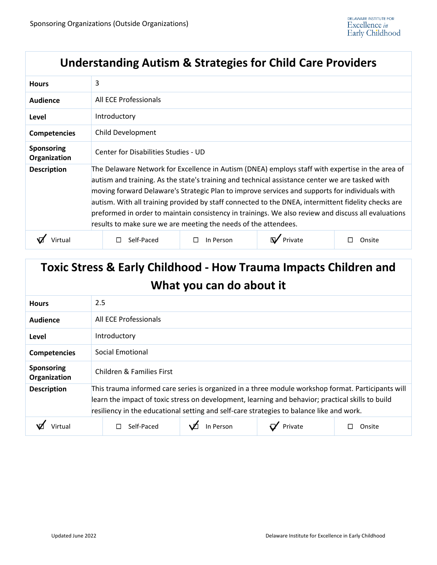#### **Understanding Autism & Strategies for Child Care Providers**

| <b>Hours</b>                      | 3                                                                                                                                                                                                                                                                                                                                                                                                                                                                                                                                                                                      |           |  |        |  |  |  |
|-----------------------------------|----------------------------------------------------------------------------------------------------------------------------------------------------------------------------------------------------------------------------------------------------------------------------------------------------------------------------------------------------------------------------------------------------------------------------------------------------------------------------------------------------------------------------------------------------------------------------------------|-----------|--|--------|--|--|--|
| Audience                          | All ECE Professionals                                                                                                                                                                                                                                                                                                                                                                                                                                                                                                                                                                  |           |  |        |  |  |  |
| Level                             | Introductory                                                                                                                                                                                                                                                                                                                                                                                                                                                                                                                                                                           |           |  |        |  |  |  |
| <b>Competencies</b>               | Child Development                                                                                                                                                                                                                                                                                                                                                                                                                                                                                                                                                                      |           |  |        |  |  |  |
| <b>Sponsoring</b><br>Organization | Center for Disabilities Studies - UD                                                                                                                                                                                                                                                                                                                                                                                                                                                                                                                                                   |           |  |        |  |  |  |
| <b>Description</b>                | The Delaware Network for Excellence in Autism (DNEA) employs staff with expertise in the area of<br>autism and training. As the state's training and technical assistance center we are tasked with<br>moving forward Delaware's Strategic Plan to improve services and supports for individuals with<br>autism. With all training provided by staff connected to the DNEA, intermittent fidelity checks are<br>preformed in order to maintain consistency in trainings. We also review and discuss all evaluations<br>results to make sure we are meeting the needs of the attendees. |           |  |        |  |  |  |
|                                   | Self-Paced                                                                                                                                                                                                                                                                                                                                                                                                                                                                                                                                                                             | In Person |  | Onsite |  |  |  |

# **Toxic Stress & Early Childhood - How Trauma Impacts Children and What you can do about it**

| <b>Hours</b>                      | 2.5                                                                                                                                                                                                                                                                                                 |  |  |  |  |
|-----------------------------------|-----------------------------------------------------------------------------------------------------------------------------------------------------------------------------------------------------------------------------------------------------------------------------------------------------|--|--|--|--|
| Audience                          | All ECE Professionals                                                                                                                                                                                                                                                                               |  |  |  |  |
| Level                             | Introductory                                                                                                                                                                                                                                                                                        |  |  |  |  |
| <b>Competencies</b>               | Social Emotional                                                                                                                                                                                                                                                                                    |  |  |  |  |
| <b>Sponsoring</b><br>Organization | Children & Families First                                                                                                                                                                                                                                                                           |  |  |  |  |
| <b>Description</b>                | This trauma informed care series is organized in a three module workshop format. Participants will<br>learn the impact of toxic stress on development, learning and behavior; practical skills to build<br>resiliency in the educational setting and self-care strategies to balance like and work. |  |  |  |  |
|                                   | In Person<br>Self-Paced<br>Private<br>Onsite                                                                                                                                                                                                                                                        |  |  |  |  |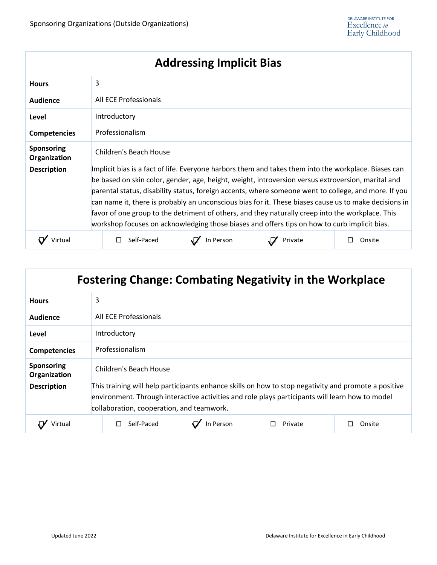| <b>Addressing Implicit Bias</b>   |                                                                                                                                                                                                                                                                                                                                                                                                                                                                                                                                                                                                                                 |           |         |        |  |  |
|-----------------------------------|---------------------------------------------------------------------------------------------------------------------------------------------------------------------------------------------------------------------------------------------------------------------------------------------------------------------------------------------------------------------------------------------------------------------------------------------------------------------------------------------------------------------------------------------------------------------------------------------------------------------------------|-----------|---------|--------|--|--|
| <b>Hours</b>                      | 3                                                                                                                                                                                                                                                                                                                                                                                                                                                                                                                                                                                                                               |           |         |        |  |  |
| <b>Audience</b>                   | All ECE Professionals                                                                                                                                                                                                                                                                                                                                                                                                                                                                                                                                                                                                           |           |         |        |  |  |
| Level                             | Introductory                                                                                                                                                                                                                                                                                                                                                                                                                                                                                                                                                                                                                    |           |         |        |  |  |
| <b>Competencies</b>               | Professionalism                                                                                                                                                                                                                                                                                                                                                                                                                                                                                                                                                                                                                 |           |         |        |  |  |
| <b>Sponsoring</b><br>Organization | <b>Children's Beach House</b>                                                                                                                                                                                                                                                                                                                                                                                                                                                                                                                                                                                                   |           |         |        |  |  |
| <b>Description</b>                | Implicit bias is a fact of life. Everyone harbors them and takes them into the workplace. Biases can<br>be based on skin color, gender, age, height, weight, introversion versus extroversion, marital and<br>parental status, disability status, foreign accents, where someone went to college, and more. If you<br>can name it, there is probably an unconscious bias for it. These biases cause us to make decisions in<br>favor of one group to the detriment of others, and they naturally creep into the workplace. This<br>workshop focuses on acknowledging those biases and offers tips on how to curb implicit bias. |           |         |        |  |  |
|                                   | Self-Paced                                                                                                                                                                                                                                                                                                                                                                                                                                                                                                                                                                                                                      | In Person | Private | Onsite |  |  |

| <b>Fostering Change: Combating Negativity in the Workplace</b> |                                                                                                                                                                                                                                                      |           |         |        |  |  |  |
|----------------------------------------------------------------|------------------------------------------------------------------------------------------------------------------------------------------------------------------------------------------------------------------------------------------------------|-----------|---------|--------|--|--|--|
| <b>Hours</b>                                                   | 3                                                                                                                                                                                                                                                    |           |         |        |  |  |  |
| <b>Audience</b>                                                | All ECE Professionals                                                                                                                                                                                                                                |           |         |        |  |  |  |
| Level                                                          | Introductory                                                                                                                                                                                                                                         |           |         |        |  |  |  |
| <b>Competencies</b>                                            | Professionalism                                                                                                                                                                                                                                      |           |         |        |  |  |  |
| <b>Sponsoring</b><br>Organization                              | Children's Beach House                                                                                                                                                                                                                               |           |         |        |  |  |  |
| <b>Description</b>                                             | This training will help participants enhance skills on how to stop negativity and promote a positive<br>environment. Through interactive activities and role plays participants will learn how to model<br>collaboration, cooperation, and teamwork. |           |         |        |  |  |  |
| Virtual                                                        | Self-Paced                                                                                                                                                                                                                                           | In Person | Private | Onsite |  |  |  |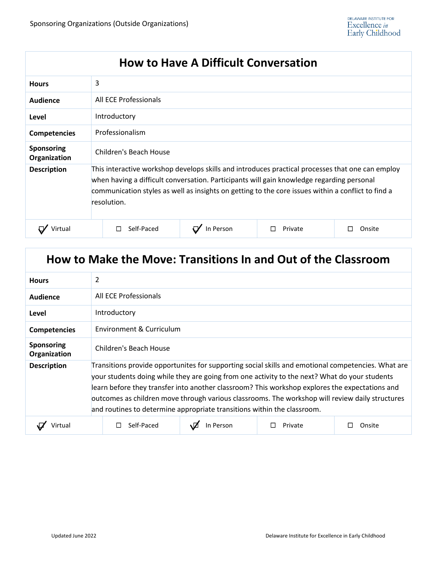#### **How to Have A Difficult Conversation**

| <b>Hours</b>               | 3                                                                                                                                                                                                                                                                                                                  |           |         |        |  |
|----------------------------|--------------------------------------------------------------------------------------------------------------------------------------------------------------------------------------------------------------------------------------------------------------------------------------------------------------------|-----------|---------|--------|--|
| Audience                   | All ECE Professionals                                                                                                                                                                                                                                                                                              |           |         |        |  |
| Level                      | Introductory                                                                                                                                                                                                                                                                                                       |           |         |        |  |
| <b>Competencies</b>        | Professionalism                                                                                                                                                                                                                                                                                                    |           |         |        |  |
| Sponsoring<br>Organization | Children's Beach House                                                                                                                                                                                                                                                                                             |           |         |        |  |
| <b>Description</b>         | This interactive workshop develops skills and introduces practical processes that one can employ<br>when having a difficult conversation. Participants will gain knowledge regarding personal<br>communication styles as well as insights on getting to the core issues within a conflict to find a<br>resolution. |           |         |        |  |
|                            | Self-Paced                                                                                                                                                                                                                                                                                                         | In Person | Private | Onsite |  |

#### **How to Make the Move: Transitions In and Out of the Classroom**

| <b>Hours</b>               | 2                                                                                                                                                                                                                                                                                                                                                                                                                                                                                   |           |         |        |  |
|----------------------------|-------------------------------------------------------------------------------------------------------------------------------------------------------------------------------------------------------------------------------------------------------------------------------------------------------------------------------------------------------------------------------------------------------------------------------------------------------------------------------------|-----------|---------|--------|--|
| Audience                   | All ECE Professionals                                                                                                                                                                                                                                                                                                                                                                                                                                                               |           |         |        |  |
| Level                      | Introductory                                                                                                                                                                                                                                                                                                                                                                                                                                                                        |           |         |        |  |
| <b>Competencies</b>        | Environment & Curriculum                                                                                                                                                                                                                                                                                                                                                                                                                                                            |           |         |        |  |
| Sponsoring<br>Organization | Children's Beach House                                                                                                                                                                                                                                                                                                                                                                                                                                                              |           |         |        |  |
| <b>Description</b>         | Transitions provide opportunites for supporting social skills and emotional competencies. What are<br>your students doing while they are going from one activity to the next? What do your students<br>learn before they transfer into another classroom? This workshop explores the expectations and<br>outcomes as children move through various classrooms. The workshop will review daily structures<br>and routines to determine appropriate transitions within the classroom. |           |         |        |  |
| Virtual                    | Self-Paced                                                                                                                                                                                                                                                                                                                                                                                                                                                                          | In Person | Private | Onsite |  |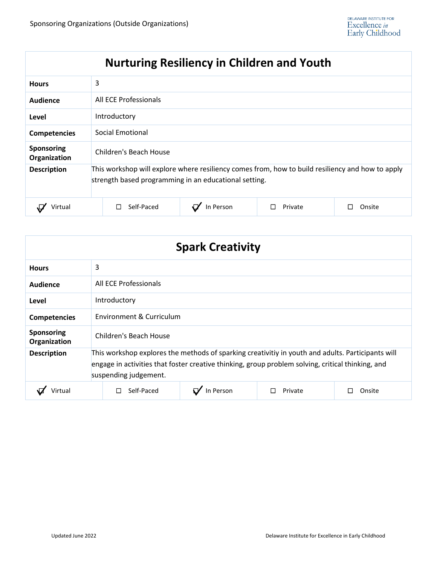# **Nurturing Resiliency in Children and Youth**

| <b>Hours</b>               | 3                                                                                                                                                         |           |         |        |  |  |
|----------------------------|-----------------------------------------------------------------------------------------------------------------------------------------------------------|-----------|---------|--------|--|--|
| Audience                   | All ECE Professionals                                                                                                                                     |           |         |        |  |  |
| Level                      | Introductory                                                                                                                                              |           |         |        |  |  |
| <b>Competencies</b>        | Social Emotional                                                                                                                                          |           |         |        |  |  |
| Sponsoring<br>Organization | Children's Beach House                                                                                                                                    |           |         |        |  |  |
| <b>Description</b>         | This workshop will explore where resiliency comes from, how to build resiliency and how to apply<br>strength based programming in an educational setting. |           |         |        |  |  |
| Virtual                    | Self-Paced                                                                                                                                                | In Person | Private | Onsite |  |  |

| <b>Spark Creativity</b>           |                                                                                                                                                                                                                                 |           |         |        |  |  |
|-----------------------------------|---------------------------------------------------------------------------------------------------------------------------------------------------------------------------------------------------------------------------------|-----------|---------|--------|--|--|
| <b>Hours</b>                      | 3                                                                                                                                                                                                                               |           |         |        |  |  |
| Audience                          | All ECE Professionals                                                                                                                                                                                                           |           |         |        |  |  |
| Level                             | Introductory                                                                                                                                                                                                                    |           |         |        |  |  |
| <b>Competencies</b>               | Environment & Curriculum                                                                                                                                                                                                        |           |         |        |  |  |
| <b>Sponsoring</b><br>Organization | Children's Beach House                                                                                                                                                                                                          |           |         |        |  |  |
| <b>Description</b>                | This workshop explores the methods of sparking creativitiy in youth and adults. Participants will<br>engage in activities that foster creative thinking, group problem solving, critical thinking, and<br>suspending judgement. |           |         |        |  |  |
| √irtual                           | Self-Paced<br>П                                                                                                                                                                                                                 | In Person | Private | Onsite |  |  |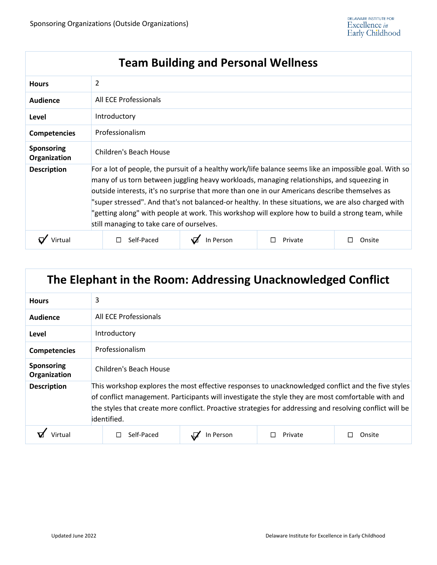| <b>Team Building and Personal Wellness</b> |                                                                                                                                                                                                                                                                                                                                                                                                                                                                                                                                                                 |           |         |        |  |
|--------------------------------------------|-----------------------------------------------------------------------------------------------------------------------------------------------------------------------------------------------------------------------------------------------------------------------------------------------------------------------------------------------------------------------------------------------------------------------------------------------------------------------------------------------------------------------------------------------------------------|-----------|---------|--------|--|
| <b>Hours</b>                               | 2                                                                                                                                                                                                                                                                                                                                                                                                                                                                                                                                                               |           |         |        |  |
| Audience                                   | All ECE Professionals                                                                                                                                                                                                                                                                                                                                                                                                                                                                                                                                           |           |         |        |  |
| Level                                      | Introductory                                                                                                                                                                                                                                                                                                                                                                                                                                                                                                                                                    |           |         |        |  |
| <b>Competencies</b>                        | Professionalism                                                                                                                                                                                                                                                                                                                                                                                                                                                                                                                                                 |           |         |        |  |
| <b>Sponsoring</b><br>Organization          | Children's Beach House                                                                                                                                                                                                                                                                                                                                                                                                                                                                                                                                          |           |         |        |  |
| <b>Description</b>                         | For a lot of people, the pursuit of a healthy work/life balance seems like an impossible goal. With so<br>many of us torn between juggling heavy workloads, managing relationships, and squeezing in<br>outside interests, it's no surprise that more than one in our Americans describe themselves as<br>"super stressed". And that's not balanced-or healthy. In these situations, we are also charged with<br>"getting along" with people at work. This workshop will explore how to build a strong team, while<br>still managing to take care of ourselves. |           |         |        |  |
|                                            | Self-Paced                                                                                                                                                                                                                                                                                                                                                                                                                                                                                                                                                      | In Person | Private | Onsite |  |

| The Elephant in the Room: Addressing Unacknowledged Conflict |                                                                                                                                                                                                                                                                                                                                     |  |  |  |
|--------------------------------------------------------------|-------------------------------------------------------------------------------------------------------------------------------------------------------------------------------------------------------------------------------------------------------------------------------------------------------------------------------------|--|--|--|
| <b>Hours</b>                                                 | 3                                                                                                                                                                                                                                                                                                                                   |  |  |  |
| <b>Audience</b>                                              | All ECE Professionals                                                                                                                                                                                                                                                                                                               |  |  |  |
| Level                                                        | Introductory                                                                                                                                                                                                                                                                                                                        |  |  |  |
| <b>Competencies</b>                                          | Professionalism                                                                                                                                                                                                                                                                                                                     |  |  |  |
| <b>Sponsoring</b><br>Organization                            | Children's Beach House                                                                                                                                                                                                                                                                                                              |  |  |  |
| <b>Description</b>                                           | This workshop explores the most effective responses to unacknowledged conflict and the five styles<br>of conflict management. Participants will investigate the style they are most comfortable with and<br>the styles that create more conflict. Proactive strategies for addressing and resolving conflict will be<br>identified. |  |  |  |
|                                                              | Self-Paced<br>Private<br>In Person<br>Onsite                                                                                                                                                                                                                                                                                        |  |  |  |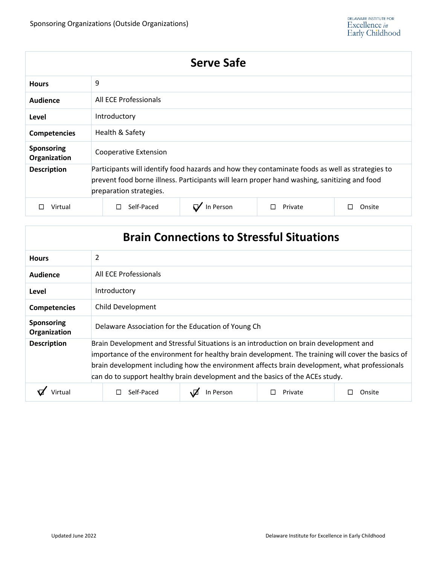| <b>Serve Safe</b>          |                                                                                                                                                                                                                            |  |  |  |
|----------------------------|----------------------------------------------------------------------------------------------------------------------------------------------------------------------------------------------------------------------------|--|--|--|
| <b>Hours</b>               | 9                                                                                                                                                                                                                          |  |  |  |
| Audience                   | All ECE Professionals                                                                                                                                                                                                      |  |  |  |
| Level                      | Introductory                                                                                                                                                                                                               |  |  |  |
| <b>Competencies</b>        | Health & Safety                                                                                                                                                                                                            |  |  |  |
| Sponsoring<br>Organization | Cooperative Extension                                                                                                                                                                                                      |  |  |  |
| <b>Description</b>         | Participants will identify food hazards and how they contaminate foods as well as strategies to<br>prevent food borne illness. Participants will learn proper hand washing, sanitizing and food<br>preparation strategies. |  |  |  |
| Virtual                    | In Person<br>Self-Paced<br>Private<br>Onsite                                                                                                                                                                               |  |  |  |

| <b>Brain Connections to Stressful Situations</b> |                                                                                                                                                                                                                                                                                                                                                                                |           |         |        |  |
|--------------------------------------------------|--------------------------------------------------------------------------------------------------------------------------------------------------------------------------------------------------------------------------------------------------------------------------------------------------------------------------------------------------------------------------------|-----------|---------|--------|--|
| <b>Hours</b>                                     | 2                                                                                                                                                                                                                                                                                                                                                                              |           |         |        |  |
| Audience                                         | All ECE Professionals                                                                                                                                                                                                                                                                                                                                                          |           |         |        |  |
| Level                                            | Introductory                                                                                                                                                                                                                                                                                                                                                                   |           |         |        |  |
| <b>Competencies</b>                              | Child Development                                                                                                                                                                                                                                                                                                                                                              |           |         |        |  |
| <b>Sponsoring</b><br>Organization                | Delaware Association for the Education of Young Ch                                                                                                                                                                                                                                                                                                                             |           |         |        |  |
| <b>Description</b>                               | Brain Development and Stressful Situations is an introduction on brain development and<br>importance of the environment for healthy brain development. The training will cover the basics of<br>brain development including how the environment affects brain development, what professionals<br>can do to support healthy brain development and the basics of the ACEs study. |           |         |        |  |
|                                                  | Self-Paced                                                                                                                                                                                                                                                                                                                                                                     | In Person | Private | Onsite |  |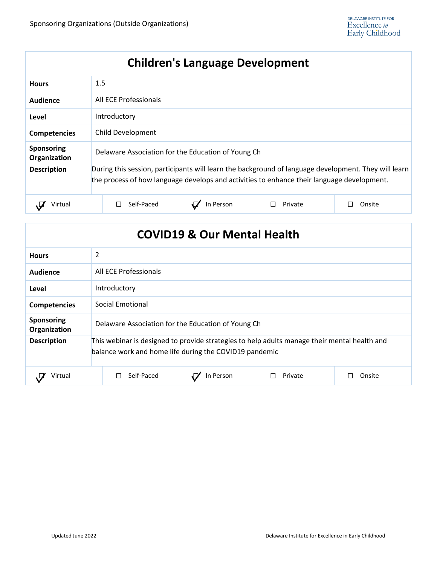# **Children's Language Development**

| <b>Hours</b>                      | 1.5                                                                                                                                                                                                |           |         |        |  |
|-----------------------------------|----------------------------------------------------------------------------------------------------------------------------------------------------------------------------------------------------|-----------|---------|--------|--|
| Audience                          | All ECE Professionals                                                                                                                                                                              |           |         |        |  |
| Level                             | Introductory                                                                                                                                                                                       |           |         |        |  |
| <b>Competencies</b>               | Child Development                                                                                                                                                                                  |           |         |        |  |
| <b>Sponsoring</b><br>Organization | Delaware Association for the Education of Young Ch                                                                                                                                                 |           |         |        |  |
| <b>Description</b>                | During this session, participants will learn the background of language development. They will learn<br>the process of how language develops and activities to enhance their language development. |           |         |        |  |
| Virtual                           | Self-Paced                                                                                                                                                                                         | In Person | Private | Onsite |  |

| <b>COVID19 &amp; Our Mental Health</b> |                                                                                                                                                        |           |         |        |  |
|----------------------------------------|--------------------------------------------------------------------------------------------------------------------------------------------------------|-----------|---------|--------|--|
| <b>Hours</b>                           | $\overline{2}$                                                                                                                                         |           |         |        |  |
| <b>Audience</b>                        | All ECE Professionals                                                                                                                                  |           |         |        |  |
| Level                                  | Introductory                                                                                                                                           |           |         |        |  |
| <b>Competencies</b>                    | Social Emotional                                                                                                                                       |           |         |        |  |
| <b>Sponsoring</b><br>Organization      | Delaware Association for the Education of Young Ch                                                                                                     |           |         |        |  |
| <b>Description</b>                     | This webinar is designed to provide strategies to help adults manage their mental health and<br>balance work and home life during the COVID19 pandemic |           |         |        |  |
| Virtual                                | Self-Paced                                                                                                                                             | In Person | Private | Onsite |  |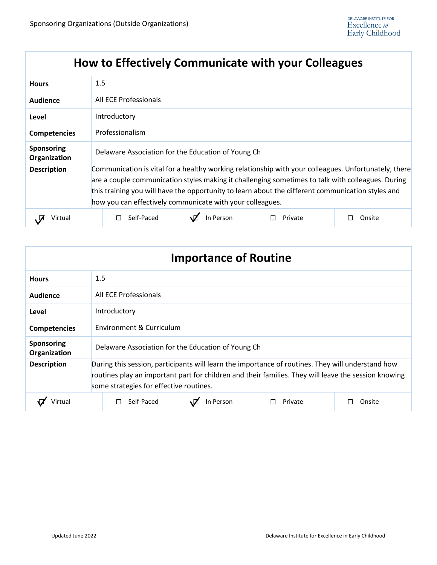# **How to Effectively Communicate with your Colleagues**

| <b>Hours</b>                      | 1.5                                                                                                                                                                                                                                                                                                                                                                         |  |  |  |
|-----------------------------------|-----------------------------------------------------------------------------------------------------------------------------------------------------------------------------------------------------------------------------------------------------------------------------------------------------------------------------------------------------------------------------|--|--|--|
| Audience                          | All ECE Professionals                                                                                                                                                                                                                                                                                                                                                       |  |  |  |
| Level                             | Introductory                                                                                                                                                                                                                                                                                                                                                                |  |  |  |
| <b>Competencies</b>               | Professionalism                                                                                                                                                                                                                                                                                                                                                             |  |  |  |
| <b>Sponsoring</b><br>Organization | Delaware Association for the Education of Young Ch                                                                                                                                                                                                                                                                                                                          |  |  |  |
| <b>Description</b>                | Communication is vital for a healthy working relationship with your colleagues. Unfortunately, there<br>are a couple communication styles making it challenging sometimes to talk with colleagues. During<br>this training you will have the opportunity to learn about the different communication styles and<br>how you can effectively communicate with your colleagues. |  |  |  |
| Virtual                           | Self-Paced<br>In Person<br>Private<br>Onsite                                                                                                                                                                                                                                                                                                                                |  |  |  |

| <b>Importance of Routine</b> |                                                                                                                                                                                                                                                      |                          |         |        |  |
|------------------------------|------------------------------------------------------------------------------------------------------------------------------------------------------------------------------------------------------------------------------------------------------|--------------------------|---------|--------|--|
| <b>Hours</b>                 | 1.5                                                                                                                                                                                                                                                  |                          |         |        |  |
| Audience                     | All ECE Professionals                                                                                                                                                                                                                                |                          |         |        |  |
| Level                        | Introductory                                                                                                                                                                                                                                         |                          |         |        |  |
| <b>Competencies</b>          |                                                                                                                                                                                                                                                      | Environment & Curriculum |         |        |  |
| Sponsoring<br>Organization   | Delaware Association for the Education of Young Ch                                                                                                                                                                                                   |                          |         |        |  |
| <b>Description</b>           | During this session, participants will learn the importance of routines. They will understand how<br>routines play an important part for children and their families. They will leave the session knowing<br>some strategies for effective routines. |                          |         |        |  |
| Virtual                      | Self-Paced                                                                                                                                                                                                                                           | In Person                | Private | Onsite |  |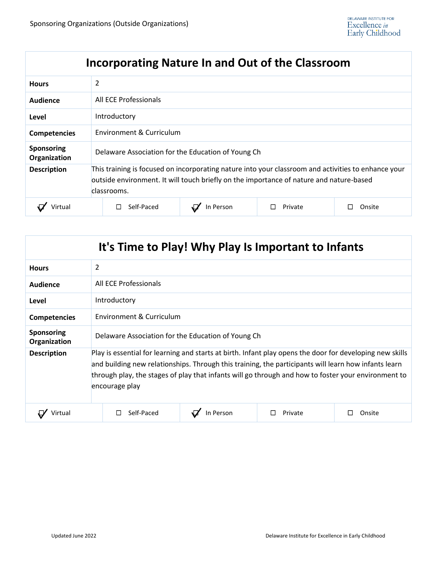# **Incorporating Nature In and Out of the Classroom**

| <b>Hours</b>                      | 2                                                                                                                                                                                                             |           |         |        |  |
|-----------------------------------|---------------------------------------------------------------------------------------------------------------------------------------------------------------------------------------------------------------|-----------|---------|--------|--|
| Audience                          | All ECE Professionals                                                                                                                                                                                         |           |         |        |  |
| Level                             | Introductory                                                                                                                                                                                                  |           |         |        |  |
| <b>Competencies</b>               | Environment & Curriculum                                                                                                                                                                                      |           |         |        |  |
| <b>Sponsoring</b><br>Organization | Delaware Association for the Education of Young Ch                                                                                                                                                            |           |         |        |  |
| <b>Description</b>                | This training is focused on incorporating nature into your classroom and activities to enhance your<br>outside environment. It will touch briefly on the importance of nature and nature-based<br>classrooms. |           |         |        |  |
|                                   | Self-Paced                                                                                                                                                                                                    | In Person | Private | Onsite |  |

| It's Time to Play! Why Play Is Important to Infants |                                                                                                                                                                                                                                                                                                                                           |         |        |  |  |
|-----------------------------------------------------|-------------------------------------------------------------------------------------------------------------------------------------------------------------------------------------------------------------------------------------------------------------------------------------------------------------------------------------------|---------|--------|--|--|
| <b>Hours</b>                                        | 2                                                                                                                                                                                                                                                                                                                                         |         |        |  |  |
| Audience                                            | All ECE Professionals                                                                                                                                                                                                                                                                                                                     |         |        |  |  |
| Level                                               | Introductory                                                                                                                                                                                                                                                                                                                              |         |        |  |  |
| <b>Competencies</b>                                 | Environment & Curriculum                                                                                                                                                                                                                                                                                                                  |         |        |  |  |
| <b>Sponsoring</b><br>Organization                   | Delaware Association for the Education of Young Ch                                                                                                                                                                                                                                                                                        |         |        |  |  |
| <b>Description</b>                                  | Play is essential for learning and starts at birth. Infant play opens the door for developing new skills<br>and building new relationships. Through this training, the participants will learn how infants learn<br>through play, the stages of play that infants will go through and how to foster your environment to<br>encourage play |         |        |  |  |
| Virtual                                             | Self-Paced<br>In Person                                                                                                                                                                                                                                                                                                                   | Private | Onsite |  |  |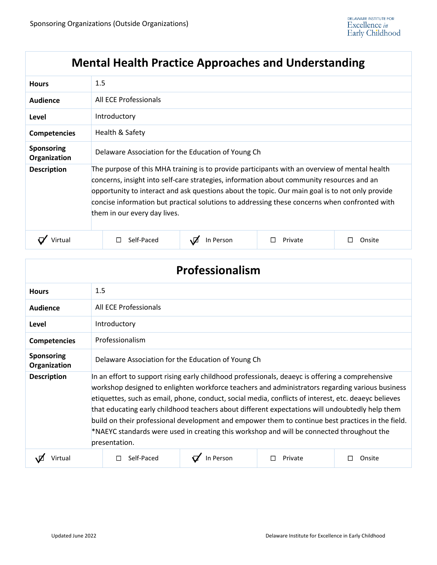# **Mental Health Practice Approaches and Understanding**

| <b>Hours</b>                      | 1.5                                                                                                                                                                                                                                                                                                                                                                                                                            |           |         |        |  |
|-----------------------------------|--------------------------------------------------------------------------------------------------------------------------------------------------------------------------------------------------------------------------------------------------------------------------------------------------------------------------------------------------------------------------------------------------------------------------------|-----------|---------|--------|--|
| Audience                          | All ECE Professionals                                                                                                                                                                                                                                                                                                                                                                                                          |           |         |        |  |
| Level                             | Introductory                                                                                                                                                                                                                                                                                                                                                                                                                   |           |         |        |  |
| <b>Competencies</b>               | Health & Safety                                                                                                                                                                                                                                                                                                                                                                                                                |           |         |        |  |
| <b>Sponsoring</b><br>Organization | Delaware Association for the Education of Young Ch                                                                                                                                                                                                                                                                                                                                                                             |           |         |        |  |
| <b>Description</b>                | The purpose of this MHA training is to provide participants with an overview of mental health<br>concerns, insight into self-care strategies, information about community resources and an<br>opportunity to interact and ask questions about the topic. Our main goal is to not only provide<br>concise information but practical solutions to addressing these concerns when confronted with<br>them in our every day lives. |           |         |        |  |
| Virtual                           | Self-Paced                                                                                                                                                                                                                                                                                                                                                                                                                     | In Person | Private | Onsite |  |

| Professionalism                   |                                                                                                                                                                                                                                                                                                                                                                                                                                                                                                                                                                                                                                   |           |         |        |  |
|-----------------------------------|-----------------------------------------------------------------------------------------------------------------------------------------------------------------------------------------------------------------------------------------------------------------------------------------------------------------------------------------------------------------------------------------------------------------------------------------------------------------------------------------------------------------------------------------------------------------------------------------------------------------------------------|-----------|---------|--------|--|
| <b>Hours</b>                      | 1.5                                                                                                                                                                                                                                                                                                                                                                                                                                                                                                                                                                                                                               |           |         |        |  |
| Audience                          | All ECE Professionals                                                                                                                                                                                                                                                                                                                                                                                                                                                                                                                                                                                                             |           |         |        |  |
| Level                             | Introductory                                                                                                                                                                                                                                                                                                                                                                                                                                                                                                                                                                                                                      |           |         |        |  |
| <b>Competencies</b>               | Professionalism                                                                                                                                                                                                                                                                                                                                                                                                                                                                                                                                                                                                                   |           |         |        |  |
| <b>Sponsoring</b><br>Organization | Delaware Association for the Education of Young Ch                                                                                                                                                                                                                                                                                                                                                                                                                                                                                                                                                                                |           |         |        |  |
| <b>Description</b>                | In an effort to support rising early childhood professionals, deaeyc is offering a comprehensive<br>workshop designed to enlighten workforce teachers and administrators regarding various business<br>etiquettes, such as email, phone, conduct, social media, conflicts of interest, etc. deaeyc believes<br>that educating early childhood teachers about different expectations will undoubtedly help them<br>build on their professional development and empower them to continue best practices in the field.<br>*NAEYC standards were used in creating this workshop and will be connected throughout the<br>presentation. |           |         |        |  |
| Jirtua                            | Self-Paced                                                                                                                                                                                                                                                                                                                                                                                                                                                                                                                                                                                                                        | In Person | Private | Onsite |  |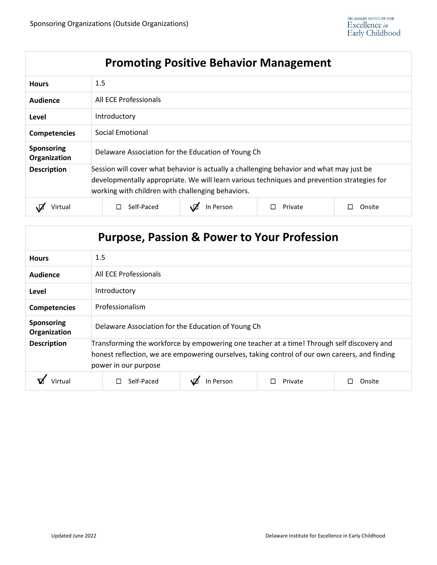# **Promoting Positive Behavior Management**

| <b>Hours</b>                      | 1.5                                                                                                                                                                                                                                          |            |           |         |        |
|-----------------------------------|----------------------------------------------------------------------------------------------------------------------------------------------------------------------------------------------------------------------------------------------|------------|-----------|---------|--------|
| Audience                          | All ECE Professionals                                                                                                                                                                                                                        |            |           |         |        |
| Level                             | Introductory                                                                                                                                                                                                                                 |            |           |         |        |
| <b>Competencies</b>               | Social Emotional                                                                                                                                                                                                                             |            |           |         |        |
| <b>Sponsoring</b><br>Organization | Delaware Association for the Education of Young Ch                                                                                                                                                                                           |            |           |         |        |
| <b>Description</b>                | Session will cover what behavior is actually a challenging behavior and what may just be<br>developmentally appropriate. We will learn various techniques and prevention strategies for<br>working with children with challenging behaviors. |            |           |         |        |
| Virtual                           |                                                                                                                                                                                                                                              | Self-Paced | In Person | Private | Onsite |

| <b>Purpose, Passion &amp; Power to Your Profession</b> |                                                                                                                                                                                                                      |           |         |        |  |
|--------------------------------------------------------|----------------------------------------------------------------------------------------------------------------------------------------------------------------------------------------------------------------------|-----------|---------|--------|--|
| <b>Hours</b>                                           | 1.5                                                                                                                                                                                                                  |           |         |        |  |
| Audience                                               | All ECE Professionals                                                                                                                                                                                                |           |         |        |  |
| Level                                                  | Introductory                                                                                                                                                                                                         |           |         |        |  |
| <b>Competencies</b>                                    | Professionalism                                                                                                                                                                                                      |           |         |        |  |
| Sponsoring<br>Organization                             | Delaware Association for the Education of Young Ch                                                                                                                                                                   |           |         |        |  |
| <b>Description</b>                                     | Transforming the workforce by empowering one teacher at a time! Through self discovery and<br>honest reflection, we are empowering ourselves, taking control of our own careers, and finding<br>power in our purpose |           |         |        |  |
|                                                        | Self-Paced                                                                                                                                                                                                           | In Person | Private | Onsite |  |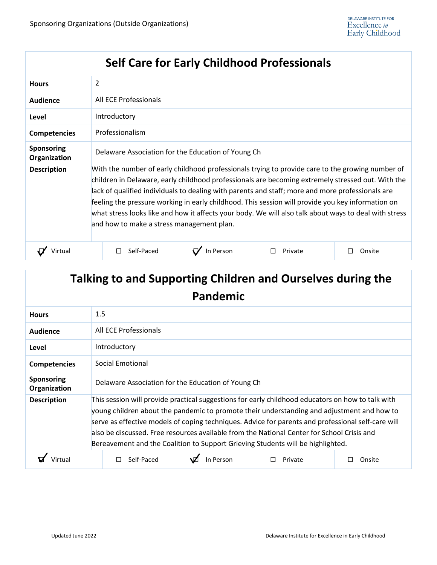| <b>Self Care for Early Childhood Professionals</b> |                                                                                                                                                                                                                                                                                                                                                                                                                                                                                                                                                                      |           |         |        |  |  |
|----------------------------------------------------|----------------------------------------------------------------------------------------------------------------------------------------------------------------------------------------------------------------------------------------------------------------------------------------------------------------------------------------------------------------------------------------------------------------------------------------------------------------------------------------------------------------------------------------------------------------------|-----------|---------|--------|--|--|
| <b>Hours</b>                                       | 2                                                                                                                                                                                                                                                                                                                                                                                                                                                                                                                                                                    |           |         |        |  |  |
| <b>Audience</b>                                    | All ECE Professionals                                                                                                                                                                                                                                                                                                                                                                                                                                                                                                                                                |           |         |        |  |  |
| Level                                              | Introductory                                                                                                                                                                                                                                                                                                                                                                                                                                                                                                                                                         |           |         |        |  |  |
| <b>Competencies</b>                                | Professionalism                                                                                                                                                                                                                                                                                                                                                                                                                                                                                                                                                      |           |         |        |  |  |
| <b>Sponsoring</b><br>Organization                  | Delaware Association for the Education of Young Ch                                                                                                                                                                                                                                                                                                                                                                                                                                                                                                                   |           |         |        |  |  |
| <b>Description</b>                                 | With the number of early childhood professionals trying to provide care to the growing number of<br>children in Delaware, early childhood professionals are becoming extremely stressed out. With the<br>lack of qualified individuals to dealing with parents and staff; more and more professionals are<br>feeling the pressure working in early childhood. This session will provide you key information on<br>what stress looks like and how it affects your body. We will also talk about ways to deal with stress<br>and how to make a stress management plan. |           |         |        |  |  |
| Virtual                                            | Self-Paced                                                                                                                                                                                                                                                                                                                                                                                                                                                                                                                                                           | In Person | Private | Onsite |  |  |

| Talking to and Supporting Children and Ourselves during the<br>Pandemic |                                                                                                                                                                                                                                                                                                                                                                                                                                                                                        |  |  |  |  |
|-------------------------------------------------------------------------|----------------------------------------------------------------------------------------------------------------------------------------------------------------------------------------------------------------------------------------------------------------------------------------------------------------------------------------------------------------------------------------------------------------------------------------------------------------------------------------|--|--|--|--|
| <b>Hours</b>                                                            | 1.5                                                                                                                                                                                                                                                                                                                                                                                                                                                                                    |  |  |  |  |
| <b>Audience</b>                                                         | All ECE Professionals                                                                                                                                                                                                                                                                                                                                                                                                                                                                  |  |  |  |  |
| Level                                                                   | Introductory                                                                                                                                                                                                                                                                                                                                                                                                                                                                           |  |  |  |  |
| <b>Competencies</b>                                                     | Social Emotional                                                                                                                                                                                                                                                                                                                                                                                                                                                                       |  |  |  |  |
| <b>Sponsoring</b><br>Organization                                       | Delaware Association for the Education of Young Ch                                                                                                                                                                                                                                                                                                                                                                                                                                     |  |  |  |  |
| <b>Description</b>                                                      | This session will provide practical suggestions for early childhood educators on how to talk with<br>young children about the pandemic to promote their understanding and adjustment and how to<br>serve as effective models of coping techniques. Advice for parents and professional self-care will<br>also be discussed. Free resources available from the National Center for School Crisis and<br>Bereavement and the Coalition to Support Grieving Students will be highlighted. |  |  |  |  |
|                                                                         | In Person<br>Self-Paced<br>Private<br>Onsite                                                                                                                                                                                                                                                                                                                                                                                                                                           |  |  |  |  |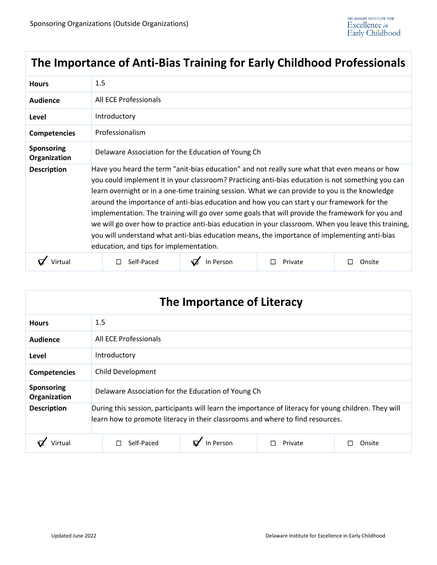# **The Importance of Anti-Bias Training for Early Childhood Professionals**

| <b>Hours</b>               | 1.5                                                                                                                                                                                                                                                                                                                                                                                                                                                                                                                                                                                                                                                                                                                                                       |           |         |        |  |  |
|----------------------------|-----------------------------------------------------------------------------------------------------------------------------------------------------------------------------------------------------------------------------------------------------------------------------------------------------------------------------------------------------------------------------------------------------------------------------------------------------------------------------------------------------------------------------------------------------------------------------------------------------------------------------------------------------------------------------------------------------------------------------------------------------------|-----------|---------|--------|--|--|
| <b>Audience</b>            | All ECE Professionals                                                                                                                                                                                                                                                                                                                                                                                                                                                                                                                                                                                                                                                                                                                                     |           |         |        |  |  |
| Level                      | Introductory                                                                                                                                                                                                                                                                                                                                                                                                                                                                                                                                                                                                                                                                                                                                              |           |         |        |  |  |
| <b>Competencies</b>        | Professionalism                                                                                                                                                                                                                                                                                                                                                                                                                                                                                                                                                                                                                                                                                                                                           |           |         |        |  |  |
| Sponsoring<br>Organization | Delaware Association for the Education of Young Ch                                                                                                                                                                                                                                                                                                                                                                                                                                                                                                                                                                                                                                                                                                        |           |         |        |  |  |
| <b>Description</b>         | Have you heard the term "anit-bias education" and not really sure what that even means or how<br>you could implement it in your classroom? Practicing anti-bias education is not something you can<br>learn overnight or in a one-time training session. What we can provide to you is the knowledge<br>around the importance of anti-bias education and how you can start y our framework for the<br>implementation. The training will go over some goals that will provide the framework for you and<br>we will go over how to practice anti-bias education in your classroom. When you leave this training,<br>you will understand what anti-bias education means, the importance of implementing anti-bias<br>education, and tips for implementation. |           |         |        |  |  |
|                            | Self-Paced                                                                                                                                                                                                                                                                                                                                                                                                                                                                                                                                                                                                                                                                                                                                                | In Person | Private | Onsite |  |  |

| The Importance of Literacy |                                                                                                                                                                                         |  |  |  |  |
|----------------------------|-----------------------------------------------------------------------------------------------------------------------------------------------------------------------------------------|--|--|--|--|
| <b>Hours</b>               | 1.5                                                                                                                                                                                     |  |  |  |  |
| Audience                   | All ECE Professionals                                                                                                                                                                   |  |  |  |  |
| Level                      | Introductory                                                                                                                                                                            |  |  |  |  |
| <b>Competencies</b>        | Child Development                                                                                                                                                                       |  |  |  |  |
| Sponsoring<br>Organization | Delaware Association for the Education of Young Ch                                                                                                                                      |  |  |  |  |
| <b>Description</b>         | During this session, participants will learn the importance of literacy for young children. They will<br>learn how to promote literacy in their classrooms and where to find resources. |  |  |  |  |
| Virtual                    | $\mathbf{p}'$ In Person<br>Self-Paced<br>Private<br>Onsite                                                                                                                              |  |  |  |  |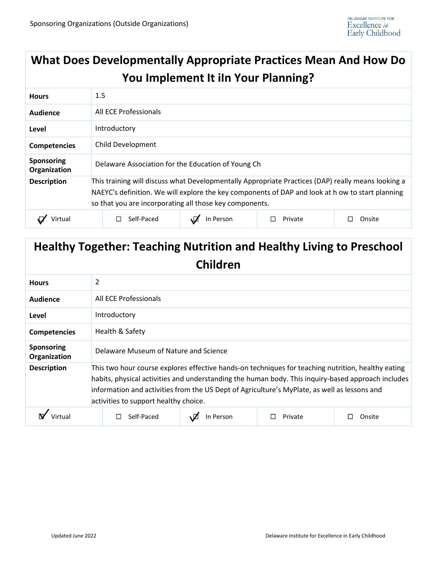#### **What Does Developmentally Appropriate Practices Mean And How Do You Implement It iIn Your Planning? Hours** 1.5 **Audience** All ECE Professionals **Level Introductory Competencies** Child Development **Sponsoring Organization** Delaware Association for the Education of Young Ch **Description** This training will discuss what Developmentally Appropriate Practices (DAP) really means looking a NAEYC's definition. We will explore the key components of DAP and look at h ow to start planning so that you are incorporating all those key components. **Q** Virtual │ □ Self-Paced │ **Q** In Person │ □ Private │ □ Onsite

# **Healthy Together: Teaching Nutrition and Healthy Living to Preschool Children**

| <b>Hours</b>                      | 2 |                                                                                                                                                                                                                                                                                                                                                   |           |         |        |  |
|-----------------------------------|---|---------------------------------------------------------------------------------------------------------------------------------------------------------------------------------------------------------------------------------------------------------------------------------------------------------------------------------------------------|-----------|---------|--------|--|
| Audience                          |   | All ECE Professionals                                                                                                                                                                                                                                                                                                                             |           |         |        |  |
| Level                             |   | Introductory                                                                                                                                                                                                                                                                                                                                      |           |         |        |  |
| <b>Competencies</b>               |   | Health & Safety                                                                                                                                                                                                                                                                                                                                   |           |         |        |  |
| <b>Sponsoring</b><br>Organization |   | Delaware Museum of Nature and Science                                                                                                                                                                                                                                                                                                             |           |         |        |  |
| <b>Description</b>                |   | This two hour course explores effective hands-on techniques for teaching nutrition, healthy eating<br>habits, physical activities and understanding the human body. This inquiry-based approach includes<br>information and activities from the US Dept of Agriculture's MyPlate, as well as lessons and<br>activities to support healthy choice. |           |         |        |  |
|                                   |   | Self-Paced                                                                                                                                                                                                                                                                                                                                        | In Person | Private | Onsite |  |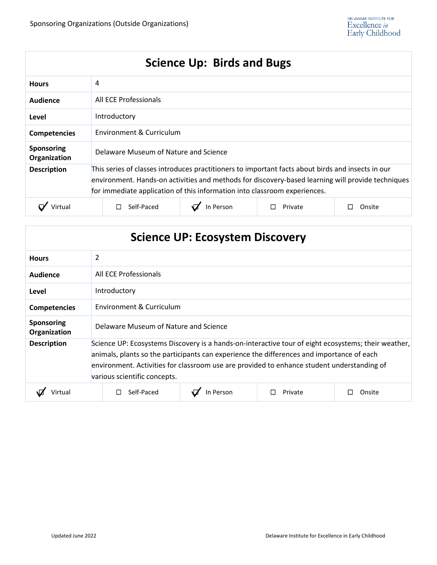# **Science Up: Birds and Bugs**

| <b>Hours</b>                      | 4                                                                                                                                                                                                                                                                                   |           |         |        |  |
|-----------------------------------|-------------------------------------------------------------------------------------------------------------------------------------------------------------------------------------------------------------------------------------------------------------------------------------|-----------|---------|--------|--|
| Audience                          | All ECE Professionals                                                                                                                                                                                                                                                               |           |         |        |  |
| Level                             | Introductory                                                                                                                                                                                                                                                                        |           |         |        |  |
| <b>Competencies</b>               | Environment & Curriculum                                                                                                                                                                                                                                                            |           |         |        |  |
| <b>Sponsoring</b><br>Organization | Delaware Museum of Nature and Science                                                                                                                                                                                                                                               |           |         |        |  |
| <b>Description</b>                | This series of classes introduces practitioners to important facts about birds and insects in our<br>environment. Hands-on activities and methods for discovery-based learning will provide techniques<br>for immediate application of this information into classroom experiences. |           |         |        |  |
|                                   | Self-Paced                                                                                                                                                                                                                                                                          | In Person | Private | Onsite |  |

| <b>Science UP: Ecosystem Discovery</b> |
|----------------------------------------|
|----------------------------------------|

| <b>Hours</b>                      | 2                                                                                                                                                                                                                                                                                                                              |                          |         |        |  |  |
|-----------------------------------|--------------------------------------------------------------------------------------------------------------------------------------------------------------------------------------------------------------------------------------------------------------------------------------------------------------------------------|--------------------------|---------|--------|--|--|
| Audience                          | All ECE Professionals                                                                                                                                                                                                                                                                                                          |                          |         |        |  |  |
| Level                             | Introductory                                                                                                                                                                                                                                                                                                                   |                          |         |        |  |  |
| <b>Competencies</b>               |                                                                                                                                                                                                                                                                                                                                | Environment & Curriculum |         |        |  |  |
| <b>Sponsoring</b><br>Organization | Delaware Museum of Nature and Science                                                                                                                                                                                                                                                                                          |                          |         |        |  |  |
| <b>Description</b>                | Science UP: Ecosystems Discovery is a hands-on-interactive tour of eight ecosystems; their weather,<br>animals, plants so the participants can experience the differences and importance of each<br>environment. Activities for classroom use are provided to enhance student understanding of<br>various scientific concepts. |                          |         |        |  |  |
|                                   | Self-Paced                                                                                                                                                                                                                                                                                                                     | In Person                | Private | Onsite |  |  |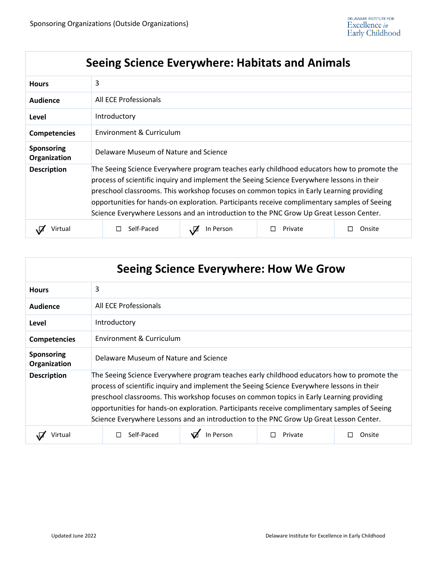# **Seeing Science Everywhere: Habitats and Animals**

| <b>Hours</b>                      | 3                                                                                                                                                                                                                                                                                                                                                                                                                                                                              |                          |         |        |  |  |
|-----------------------------------|--------------------------------------------------------------------------------------------------------------------------------------------------------------------------------------------------------------------------------------------------------------------------------------------------------------------------------------------------------------------------------------------------------------------------------------------------------------------------------|--------------------------|---------|--------|--|--|
| <b>Audience</b>                   | All ECE Professionals                                                                                                                                                                                                                                                                                                                                                                                                                                                          |                          |         |        |  |  |
| Level                             | Introductory                                                                                                                                                                                                                                                                                                                                                                                                                                                                   |                          |         |        |  |  |
| <b>Competencies</b>               |                                                                                                                                                                                                                                                                                                                                                                                                                                                                                | Environment & Curriculum |         |        |  |  |
| <b>Sponsoring</b><br>Organization | Delaware Museum of Nature and Science                                                                                                                                                                                                                                                                                                                                                                                                                                          |                          |         |        |  |  |
| <b>Description</b>                | The Seeing Science Everywhere program teaches early childhood educators how to promote the<br>process of scientific inquiry and implement the Seeing Science Everywhere lessons in their<br>preschool classrooms. This workshop focuses on common topics in Early Learning providing<br>opportunities for hands-on exploration. Participants receive complimentary samples of Seeing<br>Science Everywhere Lessons and an introduction to the PNC Grow Up Great Lesson Center. |                          |         |        |  |  |
| Virtua                            | Self-Paced                                                                                                                                                                                                                                                                                                                                                                                                                                                                     | In Person                | Private | Onsite |  |  |

| Seeing Science Everywhere: How We Grow |                                                                                                                                                                                                                                                                                                                                                                                                                                                                                |           |         |        |  |
|----------------------------------------|--------------------------------------------------------------------------------------------------------------------------------------------------------------------------------------------------------------------------------------------------------------------------------------------------------------------------------------------------------------------------------------------------------------------------------------------------------------------------------|-----------|---------|--------|--|
| <b>Hours</b>                           | 3                                                                                                                                                                                                                                                                                                                                                                                                                                                                              |           |         |        |  |
| <b>Audience</b>                        | All ECE Professionals                                                                                                                                                                                                                                                                                                                                                                                                                                                          |           |         |        |  |
| Level                                  | Introductory                                                                                                                                                                                                                                                                                                                                                                                                                                                                   |           |         |        |  |
| <b>Competencies</b>                    | Environment & Curriculum                                                                                                                                                                                                                                                                                                                                                                                                                                                       |           |         |        |  |
| <b>Sponsoring</b><br>Organization      | Delaware Museum of Nature and Science                                                                                                                                                                                                                                                                                                                                                                                                                                          |           |         |        |  |
| <b>Description</b>                     | The Seeing Science Everywhere program teaches early childhood educators how to promote the<br>process of scientific inquiry and implement the Seeing Science Everywhere lessons in their<br>preschool classrooms. This workshop focuses on common topics in Early Learning providing<br>opportunities for hands-on exploration. Participants receive complimentary samples of Seeing<br>Science Everywhere Lessons and an introduction to the PNC Grow Up Great Lesson Center. |           |         |        |  |
| Virtual                                | Self-Paced                                                                                                                                                                                                                                                                                                                                                                                                                                                                     | In Person | Private | Onsite |  |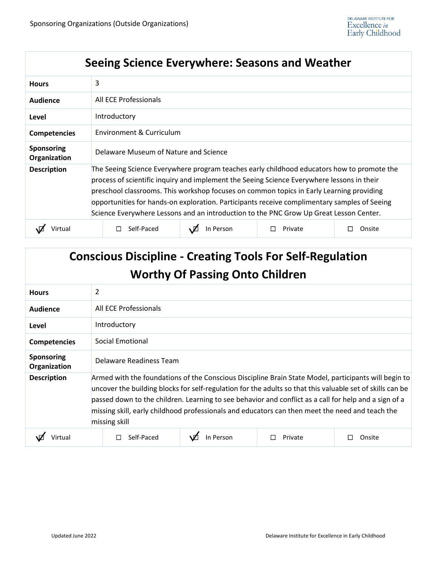# **Seeing Science Everywhere: Seasons and Weather**

| <b>Hours</b>                      | 3                                                                                                                                                                                                                                                                                                                                                                                                                                                                              |                          |         |        |  |
|-----------------------------------|--------------------------------------------------------------------------------------------------------------------------------------------------------------------------------------------------------------------------------------------------------------------------------------------------------------------------------------------------------------------------------------------------------------------------------------------------------------------------------|--------------------------|---------|--------|--|
| Audience                          | All ECE Professionals                                                                                                                                                                                                                                                                                                                                                                                                                                                          |                          |         |        |  |
| Level                             | Introductory                                                                                                                                                                                                                                                                                                                                                                                                                                                                   |                          |         |        |  |
| <b>Competencies</b>               |                                                                                                                                                                                                                                                                                                                                                                                                                                                                                | Environment & Curriculum |         |        |  |
| <b>Sponsoring</b><br>Organization | Delaware Museum of Nature and Science                                                                                                                                                                                                                                                                                                                                                                                                                                          |                          |         |        |  |
| <b>Description</b>                | The Seeing Science Everywhere program teaches early childhood educators how to promote the<br>process of scientific inquiry and implement the Seeing Science Everywhere lessons in their<br>preschool classrooms. This workshop focuses on common topics in Early Learning providing<br>opportunities for hands-on exploration. Participants receive complimentary samples of Seeing<br>Science Everywhere Lessons and an introduction to the PNC Grow Up Great Lesson Center. |                          |         |        |  |
|                                   | Self-Paced                                                                                                                                                                                                                                                                                                                                                                                                                                                                     | In Person                | Private | Onsite |  |

| <b>Conscious Discipline - Creating Tools For Self-Regulation</b><br><b>Worthy Of Passing Onto Children</b> |                                                                                                                                                                                                                                                                                                                                                                                                                                                |           |         |        |  |
|------------------------------------------------------------------------------------------------------------|------------------------------------------------------------------------------------------------------------------------------------------------------------------------------------------------------------------------------------------------------------------------------------------------------------------------------------------------------------------------------------------------------------------------------------------------|-----------|---------|--------|--|
| <b>Hours</b>                                                                                               | 2                                                                                                                                                                                                                                                                                                                                                                                                                                              |           |         |        |  |
| Audience                                                                                                   | All ECE Professionals                                                                                                                                                                                                                                                                                                                                                                                                                          |           |         |        |  |
| Level                                                                                                      | Introductory                                                                                                                                                                                                                                                                                                                                                                                                                                   |           |         |        |  |
| <b>Competencies</b>                                                                                        | Social Emotional                                                                                                                                                                                                                                                                                                                                                                                                                               |           |         |        |  |
| <b>Sponsoring</b><br>Organization                                                                          | Delaware Readiness Team                                                                                                                                                                                                                                                                                                                                                                                                                        |           |         |        |  |
| <b>Description</b>                                                                                         | Armed with the foundations of the Conscious Discipline Brain State Model, participants will begin to<br>uncover the building blocks for self-regulation for the adults so that this valuable set of skills can be<br>passed down to the children. Learning to see behavior and conflict as a call for help and a sign of a<br>missing skill, early childhood professionals and educators can then meet the need and teach the<br>missing skill |           |         |        |  |
| Virtual                                                                                                    | Self-Paced                                                                                                                                                                                                                                                                                                                                                                                                                                     | In Person | Private | Onsite |  |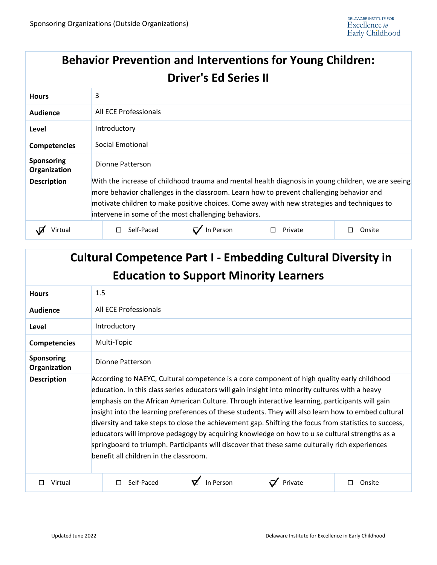# **Behavior Prevention and Interventions for Young Children: Driver's Ed Series II**

| <b>Hours</b>                      | 3                                                                                                                                                                                                                                                                                                                                                     |           |         |        |  |
|-----------------------------------|-------------------------------------------------------------------------------------------------------------------------------------------------------------------------------------------------------------------------------------------------------------------------------------------------------------------------------------------------------|-----------|---------|--------|--|
| Audience                          | All ECE Professionals                                                                                                                                                                                                                                                                                                                                 |           |         |        |  |
| Level                             | Introductory                                                                                                                                                                                                                                                                                                                                          |           |         |        |  |
| <b>Competencies</b>               | Social Emotional                                                                                                                                                                                                                                                                                                                                      |           |         |        |  |
| <b>Sponsoring</b><br>Organization | Dionne Patterson                                                                                                                                                                                                                                                                                                                                      |           |         |        |  |
| <b>Description</b>                | With the increase of childhood trauma and mental health diagnosis in young children, we are seeing<br>more behavior challenges in the classroom. Learn how to prevent challenging behavior and<br>motivate children to make positive choices. Come away with new strategies and techniques to<br>intervene in some of the most challenging behaviors. |           |         |        |  |
| Virtual                           | Self-Paced<br>H                                                                                                                                                                                                                                                                                                                                       | In Person | Private | Onsite |  |

| <b>Cultural Competence Part I - Embedding Cultural Diversity in</b><br><b>Education to Support Minority Learners</b> |                                                                                                                                                                                                                                                                                                                                                                                                                                                                                                                                                                                                                                                                                                                                                               |           |         |             |  |
|----------------------------------------------------------------------------------------------------------------------|---------------------------------------------------------------------------------------------------------------------------------------------------------------------------------------------------------------------------------------------------------------------------------------------------------------------------------------------------------------------------------------------------------------------------------------------------------------------------------------------------------------------------------------------------------------------------------------------------------------------------------------------------------------------------------------------------------------------------------------------------------------|-----------|---------|-------------|--|
| <b>Hours</b>                                                                                                         | 1.5                                                                                                                                                                                                                                                                                                                                                                                                                                                                                                                                                                                                                                                                                                                                                           |           |         |             |  |
| Audience                                                                                                             | All ECE Professionals                                                                                                                                                                                                                                                                                                                                                                                                                                                                                                                                                                                                                                                                                                                                         |           |         |             |  |
| Level                                                                                                                | Introductory                                                                                                                                                                                                                                                                                                                                                                                                                                                                                                                                                                                                                                                                                                                                                  |           |         |             |  |
| <b>Competencies</b>                                                                                                  | Multi-Topic                                                                                                                                                                                                                                                                                                                                                                                                                                                                                                                                                                                                                                                                                                                                                   |           |         |             |  |
| <b>Sponsoring</b><br>Organization                                                                                    | Dionne Patterson                                                                                                                                                                                                                                                                                                                                                                                                                                                                                                                                                                                                                                                                                                                                              |           |         |             |  |
| <b>Description</b>                                                                                                   | According to NAEYC, Cultural competence is a core component of high quality early childhood<br>education. In this class series educators will gain insight into minority cultures with a heavy<br>emphasis on the African American Culture. Through interactive learning, participants will gain<br>insight into the learning preferences of these students. They will also learn how to embed cultural<br>diversity and take steps to close the achievement gap. Shifting the focus from statistics to success,<br>educators will improve pedagogy by acquiring knowledge on how to u se cultural strengths as a<br>springboard to triumph. Participants will discover that these same culturally rich experiences<br>benefit all children in the classroom. |           |         |             |  |
| Virtual                                                                                                              | Self-Paced                                                                                                                                                                                                                                                                                                                                                                                                                                                                                                                                                                                                                                                                                                                                                    | In Person | Private | Onsite<br>П |  |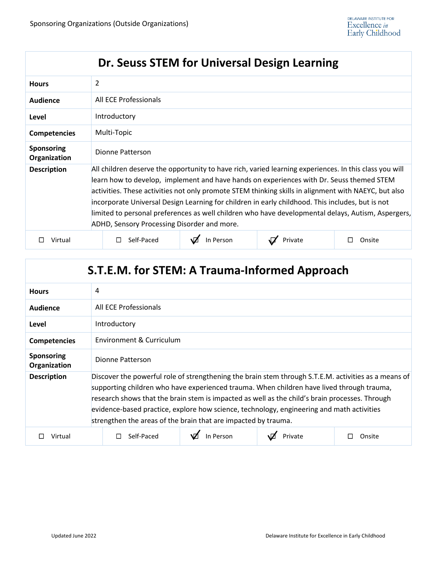| Dr. Seuss STEM for Universal Design Learning |                                                                                                                                                                                                                                                                                                                                                                                                                                                                                                                                                                     |           |         |        |  |
|----------------------------------------------|---------------------------------------------------------------------------------------------------------------------------------------------------------------------------------------------------------------------------------------------------------------------------------------------------------------------------------------------------------------------------------------------------------------------------------------------------------------------------------------------------------------------------------------------------------------------|-----------|---------|--------|--|
| <b>Hours</b>                                 | 2                                                                                                                                                                                                                                                                                                                                                                                                                                                                                                                                                                   |           |         |        |  |
| <b>Audience</b>                              | All ECE Professionals                                                                                                                                                                                                                                                                                                                                                                                                                                                                                                                                               |           |         |        |  |
| Level                                        | Introductory                                                                                                                                                                                                                                                                                                                                                                                                                                                                                                                                                        |           |         |        |  |
| <b>Competencies</b>                          | Multi-Topic                                                                                                                                                                                                                                                                                                                                                                                                                                                                                                                                                         |           |         |        |  |
| <b>Sponsoring</b><br>Organization            | Dionne Patterson                                                                                                                                                                                                                                                                                                                                                                                                                                                                                                                                                    |           |         |        |  |
| <b>Description</b>                           | All children deserve the opportunity to have rich, varied learning experiences. In this class you will<br>learn how to develop, implement and have hands on experiences with Dr. Seuss themed STEM<br>activities. These activities not only promote STEM thinking skills in alignment with NAEYC, but also<br>incorporate Universal Design Learning for children in early childhood. This includes, but is not<br>limited to personal preferences as well children who have developmental delays, Autism, Aspergers,<br>ADHD, Sensory Processing Disorder and more. |           |         |        |  |
| Virtual                                      | Self-Paced                                                                                                                                                                                                                                                                                                                                                                                                                                                                                                                                                          | In Person | Private | Onsite |  |

| S.T.E.M. for STEM: A Trauma-Informed Approach |                                                                                                                                                                                                                                                                                                                                                                                                                                                                    |  |  |  |  |
|-----------------------------------------------|--------------------------------------------------------------------------------------------------------------------------------------------------------------------------------------------------------------------------------------------------------------------------------------------------------------------------------------------------------------------------------------------------------------------------------------------------------------------|--|--|--|--|
| <b>Hours</b>                                  | 4                                                                                                                                                                                                                                                                                                                                                                                                                                                                  |  |  |  |  |
| Audience                                      | All ECE Professionals                                                                                                                                                                                                                                                                                                                                                                                                                                              |  |  |  |  |
| Level                                         | Introductory                                                                                                                                                                                                                                                                                                                                                                                                                                                       |  |  |  |  |
| <b>Competencies</b>                           | Environment & Curriculum                                                                                                                                                                                                                                                                                                                                                                                                                                           |  |  |  |  |
| <b>Sponsoring</b><br>Organization             | Dionne Patterson                                                                                                                                                                                                                                                                                                                                                                                                                                                   |  |  |  |  |
| <b>Description</b>                            | Discover the powerful role of strengthening the brain stem through S.T.E.M. activities as a means of<br>supporting children who have experienced trauma. When children have lived through trauma,<br>research shows that the brain stem is impacted as well as the child's brain processes. Through<br>evidence-based practice, explore how science, technology, engineering and math activities<br>strengthen the areas of the brain that are impacted by trauma. |  |  |  |  |
| Virtual                                       | In Person<br>Self-Paced<br>Private<br>Onsite                                                                                                                                                                                                                                                                                                                                                                                                                       |  |  |  |  |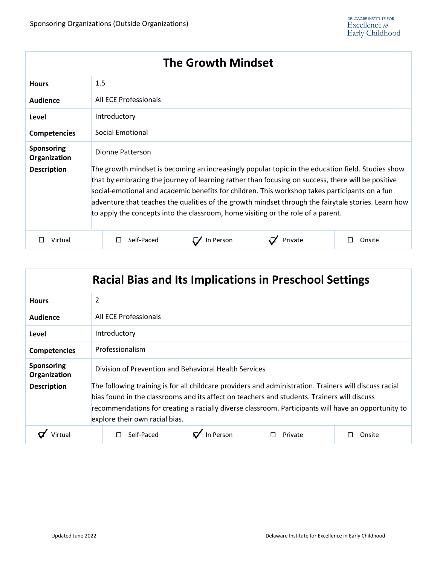| <b>The Growth Mindset</b>         |                                                                                                                                                                                                                                                                                                                                                                                                                                                                                                     |           |         |        |  |
|-----------------------------------|-----------------------------------------------------------------------------------------------------------------------------------------------------------------------------------------------------------------------------------------------------------------------------------------------------------------------------------------------------------------------------------------------------------------------------------------------------------------------------------------------------|-----------|---------|--------|--|
| <b>Hours</b>                      | 1.5                                                                                                                                                                                                                                                                                                                                                                                                                                                                                                 |           |         |        |  |
| Audience                          | All ECE Professionals                                                                                                                                                                                                                                                                                                                                                                                                                                                                               |           |         |        |  |
| Level                             | Introductory                                                                                                                                                                                                                                                                                                                                                                                                                                                                                        |           |         |        |  |
| <b>Competencies</b>               | Social Emotional                                                                                                                                                                                                                                                                                                                                                                                                                                                                                    |           |         |        |  |
| <b>Sponsoring</b><br>Organization | Dionne Patterson                                                                                                                                                                                                                                                                                                                                                                                                                                                                                    |           |         |        |  |
| <b>Description</b>                | The growth mindset is becoming an increasingly popular topic in the education field. Studies show<br>that by embracing the journey of learning rather than focusing on success, there will be positive<br>social-emotional and academic benefits for children. This workshop takes participants on a fun<br>adventure that teaches the qualities of the growth mindset through the fairytale stories. Learn how<br>to apply the concepts into the classroom, home visiting or the role of a parent. |           |         |        |  |
| Virtual                           | Self-Paced                                                                                                                                                                                                                                                                                                                                                                                                                                                                                          | In Person | Private | Onsite |  |

| <b>Racial Bias and Its Implications in Preschool Settings</b> |                                                                                                                                                                                                                                                                                                                                                |           |         |        |  |
|---------------------------------------------------------------|------------------------------------------------------------------------------------------------------------------------------------------------------------------------------------------------------------------------------------------------------------------------------------------------------------------------------------------------|-----------|---------|--------|--|
| <b>Hours</b>                                                  | 2                                                                                                                                                                                                                                                                                                                                              |           |         |        |  |
| <b>Audience</b>                                               | All ECE Professionals                                                                                                                                                                                                                                                                                                                          |           |         |        |  |
| Level                                                         | Introductory                                                                                                                                                                                                                                                                                                                                   |           |         |        |  |
| <b>Competencies</b>                                           | Professionalism                                                                                                                                                                                                                                                                                                                                |           |         |        |  |
| <b>Sponsoring</b><br>Organization                             | Division of Prevention and Behavioral Health Services                                                                                                                                                                                                                                                                                          |           |         |        |  |
| <b>Description</b>                                            | The following training is for all childcare providers and administration. Trainers will discuss racial<br>bias found in the classrooms and its affect on teachers and students. Trainers will discuss<br>recommendations for creating a racially diverse classroom. Participants will have an opportunity to<br>explore their own racial bias. |           |         |        |  |
|                                                               | Self-Paced                                                                                                                                                                                                                                                                                                                                     | In Person | Private | Onsite |  |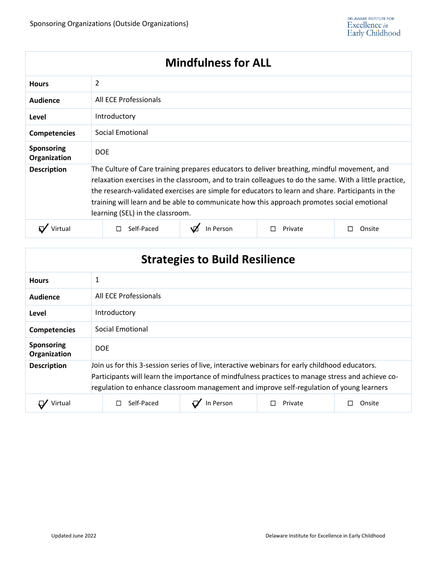| <b>Mindfulness for ALL</b>        |                                                                                                                                                                                                                                                                                                                                                                                                                                              |           |         |        |  |
|-----------------------------------|----------------------------------------------------------------------------------------------------------------------------------------------------------------------------------------------------------------------------------------------------------------------------------------------------------------------------------------------------------------------------------------------------------------------------------------------|-----------|---------|--------|--|
| <b>Hours</b>                      | 2                                                                                                                                                                                                                                                                                                                                                                                                                                            |           |         |        |  |
| <b>Audience</b>                   | All ECE Professionals                                                                                                                                                                                                                                                                                                                                                                                                                        |           |         |        |  |
| Level                             | Introductory                                                                                                                                                                                                                                                                                                                                                                                                                                 |           |         |        |  |
| <b>Competencies</b>               | Social Emotional                                                                                                                                                                                                                                                                                                                                                                                                                             |           |         |        |  |
| <b>Sponsoring</b><br>Organization | <b>DOE</b>                                                                                                                                                                                                                                                                                                                                                                                                                                   |           |         |        |  |
| <b>Description</b>                | The Culture of Care training prepares educators to deliver breathing, mindful movement, and<br>relaxation exercises in the classroom, and to train colleagues to do the same. With a little practice,<br>the research-validated exercises are simple for educators to learn and share. Participants in the<br>training will learn and be able to communicate how this approach promotes social emotional<br>learning (SEL) in the classroom. |           |         |        |  |
|                                   | Self-Paced                                                                                                                                                                                                                                                                                                                                                                                                                                   | In Person | Private | Onsite |  |

| <b>Strategies to Build Resilience</b> |                                                                                                                                                                                                                                                                                                |  |  |  |
|---------------------------------------|------------------------------------------------------------------------------------------------------------------------------------------------------------------------------------------------------------------------------------------------------------------------------------------------|--|--|--|
| <b>Hours</b>                          | 1                                                                                                                                                                                                                                                                                              |  |  |  |
| Audience                              | All ECE Professionals                                                                                                                                                                                                                                                                          |  |  |  |
| Level                                 | Introductory                                                                                                                                                                                                                                                                                   |  |  |  |
| <b>Competencies</b>                   | Social Emotional                                                                                                                                                                                                                                                                               |  |  |  |
| <b>Sponsoring</b><br>Organization     | <b>DOE</b>                                                                                                                                                                                                                                                                                     |  |  |  |
| <b>Description</b>                    | Join us for this 3-session series of live, interactive webinars for early childhood educators.<br>Participants will learn the importance of mindfulness practices to manage stress and achieve co-<br>regulation to enhance classroom management and improve self-regulation of young learners |  |  |  |
| Virtual                               | Self-Paced<br>In Person<br>Private<br>Onsite                                                                                                                                                                                                                                                   |  |  |  |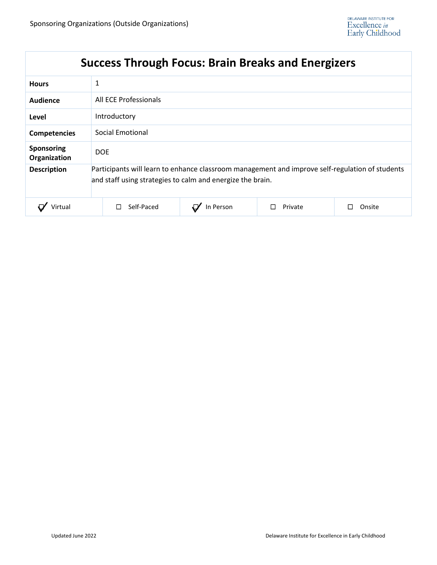| <b>Hours</b>                      | 1                                                                                                                                                             |           |         |        |  |
|-----------------------------------|---------------------------------------------------------------------------------------------------------------------------------------------------------------|-----------|---------|--------|--|
| Audience                          | All ECE Professionals                                                                                                                                         |           |         |        |  |
| Level                             | Introductory                                                                                                                                                  |           |         |        |  |
| <b>Competencies</b>               | Social Emotional                                                                                                                                              |           |         |        |  |
| <b>Sponsoring</b><br>Organization | <b>DOE</b>                                                                                                                                                    |           |         |        |  |
| <b>Description</b>                | Participants will learn to enhance classroom management and improve self-regulation of students<br>and staff using strategies to calm and energize the brain. |           |         |        |  |
| irtual                            | Self-Paced                                                                                                                                                    | In Person | Private | Onsite |  |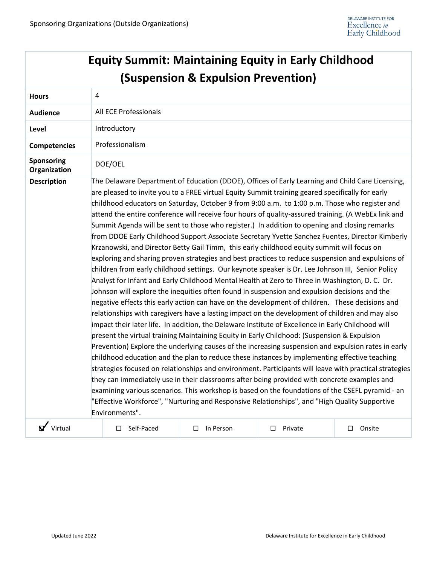|                            | <b>Equity Summit: Maintaining Equity in Early Childhood</b>                                                                                                                                                                                                                                                                                                                                                                                                                                                                                                                                                                                                                                                                                                                                                                                                                                                                                                                                                                                                                                                                                                                                                                                                                                                                                                                                                                                                                                                                                                                                                                                                                                                                                                                                                                                                                                                                                                                                                                                                                                                                                                                     |                                                |              |                  |
|----------------------------|---------------------------------------------------------------------------------------------------------------------------------------------------------------------------------------------------------------------------------------------------------------------------------------------------------------------------------------------------------------------------------------------------------------------------------------------------------------------------------------------------------------------------------------------------------------------------------------------------------------------------------------------------------------------------------------------------------------------------------------------------------------------------------------------------------------------------------------------------------------------------------------------------------------------------------------------------------------------------------------------------------------------------------------------------------------------------------------------------------------------------------------------------------------------------------------------------------------------------------------------------------------------------------------------------------------------------------------------------------------------------------------------------------------------------------------------------------------------------------------------------------------------------------------------------------------------------------------------------------------------------------------------------------------------------------------------------------------------------------------------------------------------------------------------------------------------------------------------------------------------------------------------------------------------------------------------------------------------------------------------------------------------------------------------------------------------------------------------------------------------------------------------------------------------------------|------------------------------------------------|--------------|------------------|
|                            |                                                                                                                                                                                                                                                                                                                                                                                                                                                                                                                                                                                                                                                                                                                                                                                                                                                                                                                                                                                                                                                                                                                                                                                                                                                                                                                                                                                                                                                                                                                                                                                                                                                                                                                                                                                                                                                                                                                                                                                                                                                                                                                                                                                 | <b>(Suspension &amp; Expulsion Prevention)</b> |              |                  |
| <b>Hours</b>               | 4                                                                                                                                                                                                                                                                                                                                                                                                                                                                                                                                                                                                                                                                                                                                                                                                                                                                                                                                                                                                                                                                                                                                                                                                                                                                                                                                                                                                                                                                                                                                                                                                                                                                                                                                                                                                                                                                                                                                                                                                                                                                                                                                                                               |                                                |              |                  |
| <b>Audience</b>            | All ECE Professionals                                                                                                                                                                                                                                                                                                                                                                                                                                                                                                                                                                                                                                                                                                                                                                                                                                                                                                                                                                                                                                                                                                                                                                                                                                                                                                                                                                                                                                                                                                                                                                                                                                                                                                                                                                                                                                                                                                                                                                                                                                                                                                                                                           |                                                |              |                  |
| Level                      | Introductory                                                                                                                                                                                                                                                                                                                                                                                                                                                                                                                                                                                                                                                                                                                                                                                                                                                                                                                                                                                                                                                                                                                                                                                                                                                                                                                                                                                                                                                                                                                                                                                                                                                                                                                                                                                                                                                                                                                                                                                                                                                                                                                                                                    |                                                |              |                  |
| <b>Competencies</b>        | Professionalism                                                                                                                                                                                                                                                                                                                                                                                                                                                                                                                                                                                                                                                                                                                                                                                                                                                                                                                                                                                                                                                                                                                                                                                                                                                                                                                                                                                                                                                                                                                                                                                                                                                                                                                                                                                                                                                                                                                                                                                                                                                                                                                                                                 |                                                |              |                  |
| Sponsoring<br>Organization | DOE/OEL                                                                                                                                                                                                                                                                                                                                                                                                                                                                                                                                                                                                                                                                                                                                                                                                                                                                                                                                                                                                                                                                                                                                                                                                                                                                                                                                                                                                                                                                                                                                                                                                                                                                                                                                                                                                                                                                                                                                                                                                                                                                                                                                                                         |                                                |              |                  |
| <b>Description</b>         | The Delaware Department of Education (DDOE), Offices of Early Learning and Child Care Licensing,<br>are pleased to invite you to a FREE virtual Equity Summit training geared specifically for early<br>childhood educators on Saturday, October 9 from 9:00 a.m. to 1:00 p.m. Those who register and<br>attend the entire conference will receive four hours of quality-assured training. (A WebEx link and<br>Summit Agenda will be sent to those who register.) In addition to opening and closing remarks<br>from DDOE Early Childhood Support Associate Secretary Yvette Sanchez Fuentes, Director Kimberly<br>Krzanowski, and Director Betty Gail Timm, this early childhood equity summit will focus on<br>exploring and sharing proven strategies and best practices to reduce suspension and expulsions of<br>children from early childhood settings. Our keynote speaker is Dr. Lee Johnson III, Senior Policy<br>Analyst for Infant and Early Childhood Mental Health at Zero to Three in Washington, D. C. Dr.<br>Johnson will explore the inequities often found in suspension and expulsion decisions and the<br>negative effects this early action can have on the development of children. These decisions and<br>relationships with caregivers have a lasting impact on the development of children and may also<br>impact their later life. In addition, the Delaware Institute of Excellence in Early Childhood will<br>present the virtual training Maintaining Equity in Early Childhood: (Suspension & Expulsion<br>Prevention) Explore the underlying causes of the increasing suspension and expulsion rates in early<br>childhood education and the plan to reduce these instances by implementing effective teaching<br>strategies focused on relationships and environment. Participants will leave with practical strategies<br>they can immediately use in their classrooms after being provided with concrete examples and<br>examining various scenarios. This workshop is based on the foundations of the CSEFL pyramid - an<br>"Effective Workforce", "Nurturing and Responsive Relationships", and "High Quality Supportive<br>Environments". |                                                |              |                  |
| $\sqrt{\ }$ Virtual        | Self-Paced<br>□                                                                                                                                                                                                                                                                                                                                                                                                                                                                                                                                                                                                                                                                                                                                                                                                                                                                                                                                                                                                                                                                                                                                                                                                                                                                                                                                                                                                                                                                                                                                                                                                                                                                                                                                                                                                                                                                                                                                                                                                                                                                                                                                                                 | In Person<br>□                                 | □<br>Private | $\Box$<br>Onsite |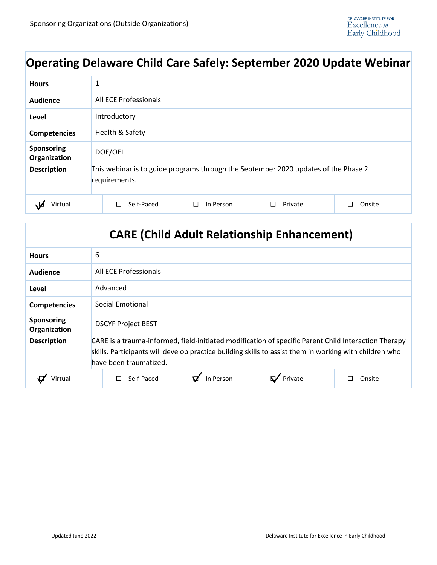# **Operating Delaware Child Care Safely: September 2020 Update Webinar**

| <b>Hours</b>                      | 1                                                                                                    |                |         |        |  |
|-----------------------------------|------------------------------------------------------------------------------------------------------|----------------|---------|--------|--|
| Audience                          | All ECE Professionals                                                                                |                |         |        |  |
| Level                             | Introductory                                                                                         |                |         |        |  |
| <b>Competencies</b>               | Health & Safety                                                                                      |                |         |        |  |
| <b>Sponsoring</b><br>Organization | DOE/OEL                                                                                              |                |         |        |  |
| <b>Description</b>                | This webinar is to guide programs through the September 2020 updates of the Phase 2<br>requirements. |                |         |        |  |
| Virtual                           | Self-Paced<br>H                                                                                      | In Person<br>П | Private | Onsite |  |

|                                   | <b>CARE (Child Adult Relationship Enhancement)</b>                                                                                                                                                                                       |
|-----------------------------------|------------------------------------------------------------------------------------------------------------------------------------------------------------------------------------------------------------------------------------------|
| <b>Hours</b>                      | 6                                                                                                                                                                                                                                        |
| Audience                          | All ECE Professionals                                                                                                                                                                                                                    |
| Level                             | Advanced                                                                                                                                                                                                                                 |
| <b>Competencies</b>               | Social Emotional                                                                                                                                                                                                                         |
| <b>Sponsoring</b><br>Organization | <b>DSCYF Project BEST</b>                                                                                                                                                                                                                |
| <b>Description</b>                | CARE is a trauma-informed, field-initiated modification of specific Parent Child Interaction Therapy<br>skills. Participants will develop practice building skills to assist them in working with children who<br>have been traumatized. |
| Virtual                           | In Person<br>Private<br>Self-Paced<br>Onsite<br>П<br>П                                                                                                                                                                                   |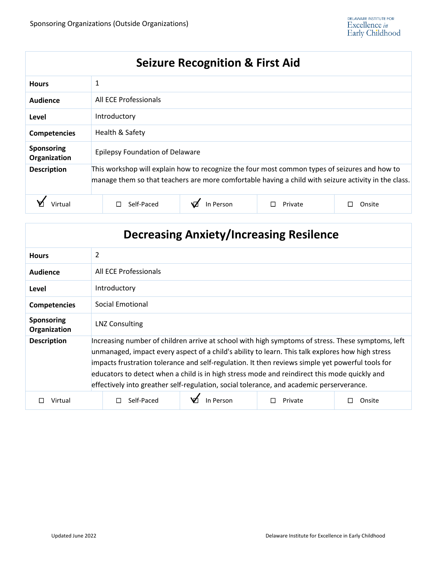# **Seizure Recognition & First Aid**

| <b>Hours</b>                      | 1                                                                                                                                                                                                     |           |         |        |
|-----------------------------------|-------------------------------------------------------------------------------------------------------------------------------------------------------------------------------------------------------|-----------|---------|--------|
| Audience                          | All ECE Professionals                                                                                                                                                                                 |           |         |        |
| Level                             | Introductory                                                                                                                                                                                          |           |         |        |
| <b>Competencies</b>               | Health & Safety                                                                                                                                                                                       |           |         |        |
| <b>Sponsoring</b><br>Organization | <b>Epilepsy Foundation of Delaware</b>                                                                                                                                                                |           |         |        |
| <b>Description</b>                | This workshop will explain how to recognize the four most common types of seizures and how to<br>manage them so that teachers are more comfortable having a child with seizure activity in the class. |           |         |        |
|                                   | Self-Paced                                                                                                                                                                                            | In Person | Private | Onsite |

|                                   |                                                                                                                                                                                                                                                                                                                                                                                                                                                                                                       |           | <b>Decreasing Anxiety/Increasing Resilence</b> |        |
|-----------------------------------|-------------------------------------------------------------------------------------------------------------------------------------------------------------------------------------------------------------------------------------------------------------------------------------------------------------------------------------------------------------------------------------------------------------------------------------------------------------------------------------------------------|-----------|------------------------------------------------|--------|
| <b>Hours</b>                      | $\overline{2}$                                                                                                                                                                                                                                                                                                                                                                                                                                                                                        |           |                                                |        |
| Audience                          | All ECE Professionals                                                                                                                                                                                                                                                                                                                                                                                                                                                                                 |           |                                                |        |
| Level                             | Introductory                                                                                                                                                                                                                                                                                                                                                                                                                                                                                          |           |                                                |        |
| <b>Competencies</b>               | <b>Social Emotional</b>                                                                                                                                                                                                                                                                                                                                                                                                                                                                               |           |                                                |        |
| <b>Sponsoring</b><br>Organization | <b>LNZ Consulting</b>                                                                                                                                                                                                                                                                                                                                                                                                                                                                                 |           |                                                |        |
| <b>Description</b>                | Increasing number of children arrive at school with high symptoms of stress. These symptoms, left<br>unmanaged, impact every aspect of a child's ability to learn. This talk explores how high stress<br>impacts frustration tolerance and self-regulation. It then reviews simple yet powerful tools for<br>educators to detect when a child is in high stress mode and reindirect this mode quickly and<br>effectively into greather self-regulation, social tolerance, and academic perserverance. |           |                                                |        |
| Virtual                           | Self-Paced                                                                                                                                                                                                                                                                                                                                                                                                                                                                                            | In Person | Private                                        | Onsite |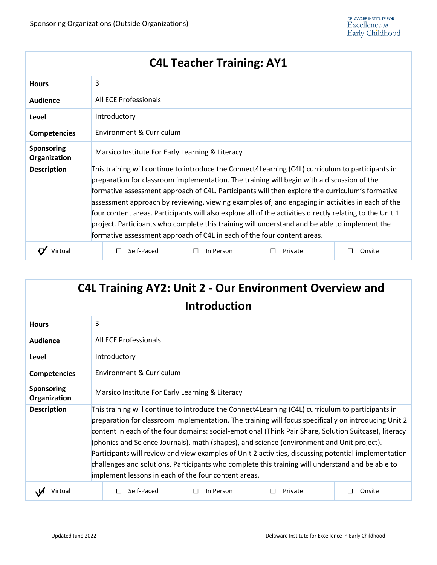|                                   |                                                                                                                                                                                                                                                                                                                                                                                                                                                                                                                                                                                                                                                                                                | <b>C4L Teacher Training: AY1</b> |         |             |  |
|-----------------------------------|------------------------------------------------------------------------------------------------------------------------------------------------------------------------------------------------------------------------------------------------------------------------------------------------------------------------------------------------------------------------------------------------------------------------------------------------------------------------------------------------------------------------------------------------------------------------------------------------------------------------------------------------------------------------------------------------|----------------------------------|---------|-------------|--|
| <b>Hours</b>                      | 3                                                                                                                                                                                                                                                                                                                                                                                                                                                                                                                                                                                                                                                                                              |                                  |         |             |  |
| Audience                          | All ECE Professionals                                                                                                                                                                                                                                                                                                                                                                                                                                                                                                                                                                                                                                                                          |                                  |         |             |  |
| Level                             | Introductory                                                                                                                                                                                                                                                                                                                                                                                                                                                                                                                                                                                                                                                                                   |                                  |         |             |  |
| <b>Competencies</b>               | Environment & Curriculum                                                                                                                                                                                                                                                                                                                                                                                                                                                                                                                                                                                                                                                                       |                                  |         |             |  |
| <b>Sponsoring</b><br>Organization | Marsico Institute For Early Learning & Literacy                                                                                                                                                                                                                                                                                                                                                                                                                                                                                                                                                                                                                                                |                                  |         |             |  |
| <b>Description</b>                | This training will continue to introduce the Connect4Learning (C4L) curriculum to participants in<br>preparation for classroom implementation. The training will begin with a discussion of the<br>formative assessment approach of C4L. Participants will then explore the curriculum's formative<br>assessment approach by reviewing, viewing examples of, and engaging in activities in each of the<br>four content areas. Participants will also explore all of the activities directly relating to the Unit 1<br>project. Participants who complete this training will understand and be able to implement the<br>formative assessment approach of C4L in each of the four content areas. |                                  |         |             |  |
| Virtual                           | Self-Paced                                                                                                                                                                                                                                                                                                                                                                                                                                                                                                                                                                                                                                                                                     | In Person<br>□                   | Private | Onsite<br>П |  |

|                                   | <b>C4L Training AY2: Unit 2 - Our Environment Overview and</b>                                                                                                                                                                                                                                                                                                                                                                                                                                                                                                                                                                                                                       | <b>Introduction</b> |         |        |
|-----------------------------------|--------------------------------------------------------------------------------------------------------------------------------------------------------------------------------------------------------------------------------------------------------------------------------------------------------------------------------------------------------------------------------------------------------------------------------------------------------------------------------------------------------------------------------------------------------------------------------------------------------------------------------------------------------------------------------------|---------------------|---------|--------|
| <b>Hours</b>                      | 3                                                                                                                                                                                                                                                                                                                                                                                                                                                                                                                                                                                                                                                                                    |                     |         |        |
| Audience                          | All ECE Professionals                                                                                                                                                                                                                                                                                                                                                                                                                                                                                                                                                                                                                                                                |                     |         |        |
| Level                             | Introductory                                                                                                                                                                                                                                                                                                                                                                                                                                                                                                                                                                                                                                                                         |                     |         |        |
| <b>Competencies</b>               | Environment & Curriculum                                                                                                                                                                                                                                                                                                                                                                                                                                                                                                                                                                                                                                                             |                     |         |        |
| <b>Sponsoring</b><br>Organization | Marsico Institute For Early Learning & Literacy                                                                                                                                                                                                                                                                                                                                                                                                                                                                                                                                                                                                                                      |                     |         |        |
| <b>Description</b>                | This training will continue to introduce the Connect4Learning (C4L) curriculum to participants in<br>preparation for classroom implementation. The training will focus specifically on introducing Unit 2<br>content in each of the four domains: social-emotional (Think Pair Share, Solution Suitcase), literacy<br>(phonics and Science Journals), math (shapes), and science (environment and Unit project).<br>Participants will review and view examples of Unit 2 activities, discussing potential implementation<br>challenges and solutions. Participants who complete this training will understand and be able to<br>implement lessons in each of the four content areas. |                     |         |        |
| Virtual                           | Self-Paced                                                                                                                                                                                                                                                                                                                                                                                                                                                                                                                                                                                                                                                                           | In Person<br>ΙI     | Private | Onsite |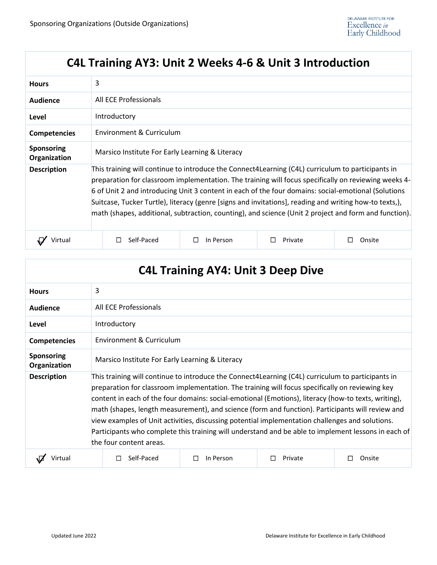# **C4L Training AY3: Unit 2 Weeks 4-6 & Unit 3 Introduction**

| <b>Hours</b>                      | 3                                                                                                                                                                                                                                                                                                                                                                                                                                                                                                                                   |           |         |        |  |
|-----------------------------------|-------------------------------------------------------------------------------------------------------------------------------------------------------------------------------------------------------------------------------------------------------------------------------------------------------------------------------------------------------------------------------------------------------------------------------------------------------------------------------------------------------------------------------------|-----------|---------|--------|--|
| Audience                          | All ECE Professionals                                                                                                                                                                                                                                                                                                                                                                                                                                                                                                               |           |         |        |  |
| Level                             | Introductory                                                                                                                                                                                                                                                                                                                                                                                                                                                                                                                        |           |         |        |  |
| <b>Competencies</b>               | Environment & Curriculum                                                                                                                                                                                                                                                                                                                                                                                                                                                                                                            |           |         |        |  |
| <b>Sponsoring</b><br>Organization | Marsico Institute For Early Learning & Literacy                                                                                                                                                                                                                                                                                                                                                                                                                                                                                     |           |         |        |  |
| <b>Description</b>                | This training will continue to introduce the Connect4Learning (C4L) curriculum to participants in<br>preparation for classroom implementation. The training will focus specifically on reviewing weeks 4-<br>6 of Unit 2 and introducing Unit 3 content in each of the four domains: social-emotional (Solutions<br>Suitcase, Tucker Turtle), literacy (genre [signs and invitations], reading and writing how-to texts,),<br>math (shapes, additional, subtraction, counting), and science (Unit 2 project and form and function). |           |         |        |  |
| Virtua                            | Self-Paced                                                                                                                                                                                                                                                                                                                                                                                                                                                                                                                          | In Person | Private | Onsite |  |

|                                   |                                                                                                                                                                                                                                                                                                                                                                                                                                                                                                                                                                                                                                                      | <b>C4L Training AY4: Unit 3 Deep Dive</b> |         |             |
|-----------------------------------|------------------------------------------------------------------------------------------------------------------------------------------------------------------------------------------------------------------------------------------------------------------------------------------------------------------------------------------------------------------------------------------------------------------------------------------------------------------------------------------------------------------------------------------------------------------------------------------------------------------------------------------------------|-------------------------------------------|---------|-------------|
| <b>Hours</b>                      | 3                                                                                                                                                                                                                                                                                                                                                                                                                                                                                                                                                                                                                                                    |                                           |         |             |
| <b>Audience</b>                   | All ECE Professionals                                                                                                                                                                                                                                                                                                                                                                                                                                                                                                                                                                                                                                |                                           |         |             |
| Level                             | Introductory                                                                                                                                                                                                                                                                                                                                                                                                                                                                                                                                                                                                                                         |                                           |         |             |
| <b>Competencies</b>               | Environment & Curriculum                                                                                                                                                                                                                                                                                                                                                                                                                                                                                                                                                                                                                             |                                           |         |             |
| <b>Sponsoring</b><br>Organization | Marsico Institute For Early Learning & Literacy                                                                                                                                                                                                                                                                                                                                                                                                                                                                                                                                                                                                      |                                           |         |             |
| <b>Description</b>                | This training will continue to introduce the Connect4Learning (C4L) curriculum to participants in<br>preparation for classroom implementation. The training will focus specifically on reviewing key<br>content in each of the four domains: social-emotional (Emotions), literacy (how-to texts, writing),<br>math (shapes, length measurement), and science (form and function). Participants will review and<br>view examples of Unit activities, discussing potential implementation challenges and solutions.<br>Participants who complete this training will understand and be able to implement lessons in each of<br>the four content areas. |                                           |         |             |
|                                   | Self-Paced                                                                                                                                                                                                                                                                                                                                                                                                                                                                                                                                                                                                                                           | In Person<br>П                            | Private | Onsite<br>H |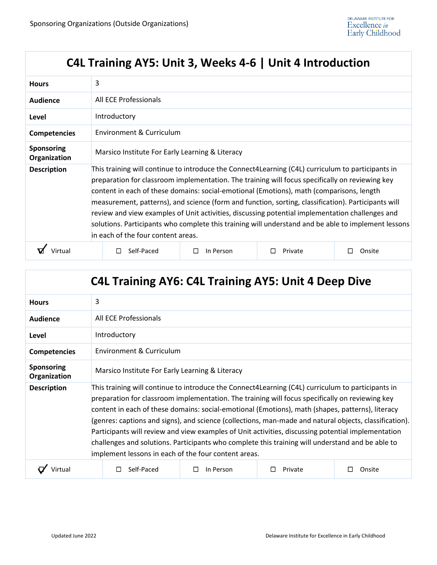# **C4L Training AY5: Unit 3, Weeks 4-6 | Unit 4 Introduction**

| <b>Hours</b>                      | 3                                                                                                                                                                                                                                                                                                                                                                                                                                                                                                                                                                                                                                                       |           |         |        |  |
|-----------------------------------|---------------------------------------------------------------------------------------------------------------------------------------------------------------------------------------------------------------------------------------------------------------------------------------------------------------------------------------------------------------------------------------------------------------------------------------------------------------------------------------------------------------------------------------------------------------------------------------------------------------------------------------------------------|-----------|---------|--------|--|
| <b>Audience</b>                   | All ECE Professionals                                                                                                                                                                                                                                                                                                                                                                                                                                                                                                                                                                                                                                   |           |         |        |  |
| Level                             | Introductory                                                                                                                                                                                                                                                                                                                                                                                                                                                                                                                                                                                                                                            |           |         |        |  |
| <b>Competencies</b>               | Environment & Curriculum                                                                                                                                                                                                                                                                                                                                                                                                                                                                                                                                                                                                                                |           |         |        |  |
| <b>Sponsoring</b><br>Organization | Marsico Institute For Early Learning & Literacy                                                                                                                                                                                                                                                                                                                                                                                                                                                                                                                                                                                                         |           |         |        |  |
| <b>Description</b>                | This training will continue to introduce the Connect4Learning (C4L) curriculum to participants in<br>preparation for classroom implementation. The training will focus specifically on reviewing key<br>content in each of these domains: social-emotional (Emotions), math (comparisons, length<br>measurement, patterns), and science (form and function, sorting, classification). Participants will<br>review and view examples of Unit activities, discussing potential implementation challenges and<br>solutions. Participants who complete this training will understand and be able to implement lessons<br>in each of the four content areas. |           |         |        |  |
|                                   | Self-Paced                                                                                                                                                                                                                                                                                                                                                                                                                                                                                                                                                                                                                                              | In Person | Private | Onsite |  |

|                                   | <b>C4L Training AY6: C4L Training AY5: Unit 4 Deep Dive</b>                                                                                                                                                                                                                                                                                                                                                                                                                                                                                                                                                                                                                          |                     |         |        |
|-----------------------------------|--------------------------------------------------------------------------------------------------------------------------------------------------------------------------------------------------------------------------------------------------------------------------------------------------------------------------------------------------------------------------------------------------------------------------------------------------------------------------------------------------------------------------------------------------------------------------------------------------------------------------------------------------------------------------------------|---------------------|---------|--------|
| <b>Hours</b>                      | 3                                                                                                                                                                                                                                                                                                                                                                                                                                                                                                                                                                                                                                                                                    |                     |         |        |
| <b>Audience</b>                   | All ECE Professionals                                                                                                                                                                                                                                                                                                                                                                                                                                                                                                                                                                                                                                                                |                     |         |        |
| Level                             | Introductory                                                                                                                                                                                                                                                                                                                                                                                                                                                                                                                                                                                                                                                                         |                     |         |        |
| <b>Competencies</b>               | Environment & Curriculum                                                                                                                                                                                                                                                                                                                                                                                                                                                                                                                                                                                                                                                             |                     |         |        |
| <b>Sponsoring</b><br>Organization | Marsico Institute For Early Learning & Literacy                                                                                                                                                                                                                                                                                                                                                                                                                                                                                                                                                                                                                                      |                     |         |        |
| <b>Description</b>                | This training will continue to introduce the Connect4Learning (C4L) curriculum to participants in<br>preparation for classroom implementation. The training will focus specifically on reviewing key<br>content in each of these domains: social-emotional (Emotions), math (shapes, patterns), literacy<br>(genres: captions and signs), and science (collections, man-made and natural objects, classification).<br>Participants will review and view examples of Unit activities, discussing potential implementation<br>challenges and solutions. Participants who complete this training will understand and be able to<br>implement lessons in each of the four content areas. |                     |         |        |
| Virtual                           | Self-Paced                                                                                                                                                                                                                                                                                                                                                                                                                                                                                                                                                                                                                                                                           | In Person<br>$\Box$ | Private | Onsite |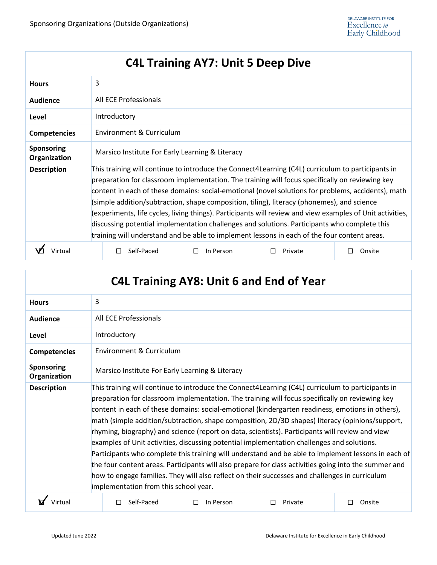# **C4L Training AY7: Unit 5 Deep Dive**

| <b>Hours</b>                      | 3                                                                                                                                                                                                                                                                                                                                                                                                                                                                                                                                                                                                                                                                                                                     |           |         |        |
|-----------------------------------|-----------------------------------------------------------------------------------------------------------------------------------------------------------------------------------------------------------------------------------------------------------------------------------------------------------------------------------------------------------------------------------------------------------------------------------------------------------------------------------------------------------------------------------------------------------------------------------------------------------------------------------------------------------------------------------------------------------------------|-----------|---------|--------|
| <b>Audience</b>                   | All ECE Professionals                                                                                                                                                                                                                                                                                                                                                                                                                                                                                                                                                                                                                                                                                                 |           |         |        |
| Level                             | Introductory                                                                                                                                                                                                                                                                                                                                                                                                                                                                                                                                                                                                                                                                                                          |           |         |        |
| <b>Competencies</b>               | Environment & Curriculum                                                                                                                                                                                                                                                                                                                                                                                                                                                                                                                                                                                                                                                                                              |           |         |        |
| <b>Sponsoring</b><br>Organization | Marsico Institute For Early Learning & Literacy                                                                                                                                                                                                                                                                                                                                                                                                                                                                                                                                                                                                                                                                       |           |         |        |
| <b>Description</b>                | This training will continue to introduce the Connect4Learning (C4L) curriculum to participants in<br>preparation for classroom implementation. The training will focus specifically on reviewing key<br>content in each of these domains: social-emotional (novel solutions for problems, accidents), math<br>(simple addition/subtraction, shape composition, tiling), literacy (phonemes), and science<br>(experiments, life cycles, living things). Participants will review and view examples of Unit activities,<br>discussing potential implementation challenges and solutions. Participants who complete this<br>training will understand and be able to implement lessons in each of the four content areas. |           |         |        |
|                                   | Self-Paced                                                                                                                                                                                                                                                                                                                                                                                                                                                                                                                                                                                                                                                                                                            | In Person | Private | Onsite |

| <b>C4L Training AY8: Unit 6 and End of Year</b> |                                                                                                                                                                                                                                                                                                                                                                                                                                                                                                                                                                                                                                                                                                                                                                                                                                                                                                                                                                         |                |              |             |
|-------------------------------------------------|-------------------------------------------------------------------------------------------------------------------------------------------------------------------------------------------------------------------------------------------------------------------------------------------------------------------------------------------------------------------------------------------------------------------------------------------------------------------------------------------------------------------------------------------------------------------------------------------------------------------------------------------------------------------------------------------------------------------------------------------------------------------------------------------------------------------------------------------------------------------------------------------------------------------------------------------------------------------------|----------------|--------------|-------------|
| <b>Hours</b>                                    | 3                                                                                                                                                                                                                                                                                                                                                                                                                                                                                                                                                                                                                                                                                                                                                                                                                                                                                                                                                                       |                |              |             |
| <b>Audience</b>                                 | All ECE Professionals                                                                                                                                                                                                                                                                                                                                                                                                                                                                                                                                                                                                                                                                                                                                                                                                                                                                                                                                                   |                |              |             |
| Level                                           | Introductory                                                                                                                                                                                                                                                                                                                                                                                                                                                                                                                                                                                                                                                                                                                                                                                                                                                                                                                                                            |                |              |             |
| <b>Competencies</b>                             | <b>Environment &amp; Curriculum</b>                                                                                                                                                                                                                                                                                                                                                                                                                                                                                                                                                                                                                                                                                                                                                                                                                                                                                                                                     |                |              |             |
| <b>Sponsoring</b><br>Organization               | Marsico Institute For Early Learning & Literacy                                                                                                                                                                                                                                                                                                                                                                                                                                                                                                                                                                                                                                                                                                                                                                                                                                                                                                                         |                |              |             |
| <b>Description</b>                              | This training will continue to introduce the Connect4Learning (C4L) curriculum to participants in<br>preparation for classroom implementation. The training will focus specifically on reviewing key<br>content in each of these domains: social-emotional (kindergarten readiness, emotions in others),<br>math (simple addition/subtraction, shape composition, 2D/3D shapes) literacy (opinions/support,<br>rhyming, biography) and science (report on data, scientists). Participants will review and view<br>examples of Unit activities, discussing potential implementation challenges and solutions.<br>Participants who complete this training will understand and be able to implement lessons in each of<br>the four content areas. Participants will also prepare for class activities going into the summer and<br>how to engage families. They will also reflect on their successes and challenges in curriculum<br>implementation from this school year. |                |              |             |
| Virtual                                         | Self-Paced<br>п                                                                                                                                                                                                                                                                                                                                                                                                                                                                                                                                                                                                                                                                                                                                                                                                                                                                                                                                                         | П<br>In Person | П<br>Private | П<br>Onsite |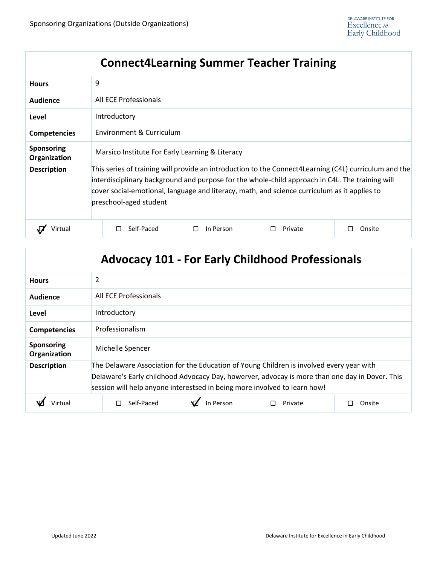# **Connect4Learning Summer Teacher Training**

| <b>Hours</b>               | 9                                                                                                                                                                                                                                                                                                                                  |                          |         |        |  |
|----------------------------|------------------------------------------------------------------------------------------------------------------------------------------------------------------------------------------------------------------------------------------------------------------------------------------------------------------------------------|--------------------------|---------|--------|--|
| Audience                   | All ECE Professionals                                                                                                                                                                                                                                                                                                              |                          |         |        |  |
| Level                      | Introductory                                                                                                                                                                                                                                                                                                                       |                          |         |        |  |
| <b>Competencies</b>        |                                                                                                                                                                                                                                                                                                                                    | Environment & Curriculum |         |        |  |
| Sponsoring<br>Organization | Marsico Institute For Early Learning & Literacy                                                                                                                                                                                                                                                                                    |                          |         |        |  |
| <b>Description</b>         | This series of training will provide an introduction to the Connect4Learning (C4L) curriculum and the<br>interdisciplinary background and purpose for the whole-child approach in C4L. The training will<br>cover social-emotional, language and literacy, math, and science curriculum as it applies to<br>preschool-aged student |                          |         |        |  |
| Virtual                    | Self-Paced                                                                                                                                                                                                                                                                                                                         | In Person                | Private | Onsite |  |

| <b>Advocacy 101 - For Early Childhood Professionals</b> |                                                                                                                                                                                                                                                                         |  |  |  |
|---------------------------------------------------------|-------------------------------------------------------------------------------------------------------------------------------------------------------------------------------------------------------------------------------------------------------------------------|--|--|--|
| <b>Hours</b>                                            | $\overline{2}$                                                                                                                                                                                                                                                          |  |  |  |
| Audience                                                | All ECE Professionals                                                                                                                                                                                                                                                   |  |  |  |
| Level                                                   | Introductory                                                                                                                                                                                                                                                            |  |  |  |
| <b>Competencies</b>                                     | Professionalism                                                                                                                                                                                                                                                         |  |  |  |
| <b>Sponsoring</b><br>Organization                       | Michelle Spencer                                                                                                                                                                                                                                                        |  |  |  |
| <b>Description</b>                                      | The Delaware Association for the Education of Young Children is involved every year with<br>Delaware's Early childhood Advocacy Day, howerver, advocay is more than one day in Dover. This<br>session will help anyone interestsed in being more involved to learn how! |  |  |  |
|                                                         | In Person<br>Self-Paced<br>Private<br>Onsite                                                                                                                                                                                                                            |  |  |  |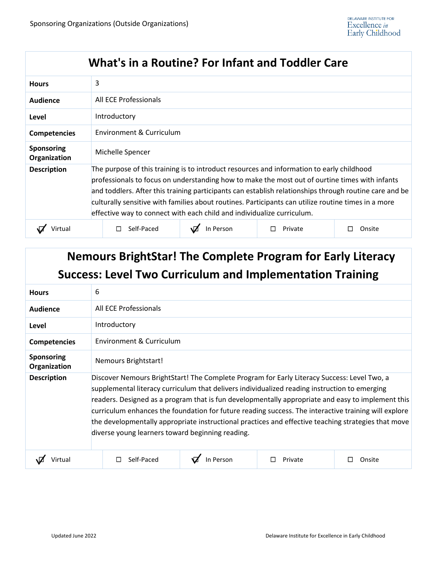#### **What's in a Routine? For Infant and Toddler Care**

| <b>Hours</b>               | 3                                                                                                                                                                                                                                                                                                                                                                                                                                                                                      |                          |         |        |  |
|----------------------------|----------------------------------------------------------------------------------------------------------------------------------------------------------------------------------------------------------------------------------------------------------------------------------------------------------------------------------------------------------------------------------------------------------------------------------------------------------------------------------------|--------------------------|---------|--------|--|
| Audience                   | All ECE Professionals                                                                                                                                                                                                                                                                                                                                                                                                                                                                  |                          |         |        |  |
| Level                      | Introductory                                                                                                                                                                                                                                                                                                                                                                                                                                                                           |                          |         |        |  |
| <b>Competencies</b>        |                                                                                                                                                                                                                                                                                                                                                                                                                                                                                        | Environment & Curriculum |         |        |  |
| Sponsoring<br>Organization | Michelle Spencer                                                                                                                                                                                                                                                                                                                                                                                                                                                                       |                          |         |        |  |
| <b>Description</b>         | The purpose of this training is to introduct resources and information to early childhood<br>professionals to focus on understanding how to make the most out of ourtine times with infants<br>and toddlers. After this training participants can establish relationships through routine care and be<br>culturally sensitive with families about routines. Participants can utilize routine times in a more<br>effective way to connect with each child and individualize curriculum. |                          |         |        |  |
|                            | Self-Paced                                                                                                                                                                                                                                                                                                                                                                                                                                                                             | In Person                | Private | Onsite |  |

# **Nemours BrightStar! The Complete Program for Early Literacy Success: Level Two Curriculum and Implementation Training**

| <b>Hours</b>               | 6                                                                                                                                                                                                                                                                                                                                                                                                                                                                                                                                                                    |                          |         |        |  |
|----------------------------|----------------------------------------------------------------------------------------------------------------------------------------------------------------------------------------------------------------------------------------------------------------------------------------------------------------------------------------------------------------------------------------------------------------------------------------------------------------------------------------------------------------------------------------------------------------------|--------------------------|---------|--------|--|
| Audience                   | All ECE Professionals                                                                                                                                                                                                                                                                                                                                                                                                                                                                                                                                                |                          |         |        |  |
| Level                      | Introductory                                                                                                                                                                                                                                                                                                                                                                                                                                                                                                                                                         |                          |         |        |  |
| <b>Competencies</b>        |                                                                                                                                                                                                                                                                                                                                                                                                                                                                                                                                                                      | Environment & Curriculum |         |        |  |
| Sponsoring<br>Organization | Nemours Brightstart!                                                                                                                                                                                                                                                                                                                                                                                                                                                                                                                                                 |                          |         |        |  |
| <b>Description</b>         | Discover Nemours BrightStart! The Complete Program for Early Literacy Success: Level Two, a<br>supplemental literacy curriculum that delivers individualized reading instruction to emerging<br>readers. Designed as a program that is fun developmentally appropriate and easy to implement this<br>curriculum enhances the foundation for future reading success. The interactive training will explore<br>the developmentally appropriate instructional practices and effective teaching strategies that move<br>diverse young learners toward beginning reading. |                          |         |        |  |
| Virtual                    | Self-Paced                                                                                                                                                                                                                                                                                                                                                                                                                                                                                                                                                           | In Person                | Private | Onsite |  |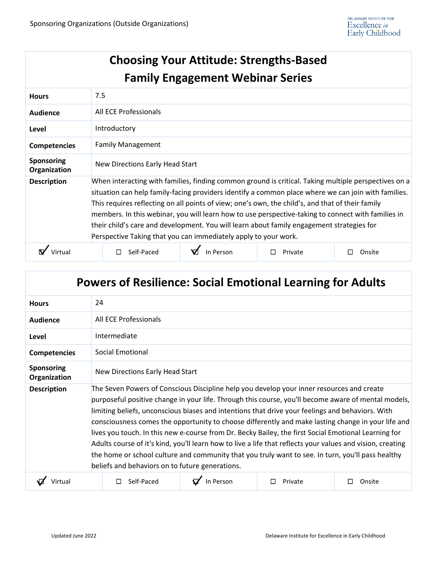|                                   |                                                                                                                                                                                                                                                                                                                                                                                                                                                                                                                                                                                       | <b>Choosing Your Attitude: Strengths-Based</b><br><b>Family Engagement Webinar Series</b> |         |             |  |  |
|-----------------------------------|---------------------------------------------------------------------------------------------------------------------------------------------------------------------------------------------------------------------------------------------------------------------------------------------------------------------------------------------------------------------------------------------------------------------------------------------------------------------------------------------------------------------------------------------------------------------------------------|-------------------------------------------------------------------------------------------|---------|-------------|--|--|
| <b>Hours</b>                      | 7.5                                                                                                                                                                                                                                                                                                                                                                                                                                                                                                                                                                                   |                                                                                           |         |             |  |  |
| <b>Audience</b>                   | All ECE Professionals                                                                                                                                                                                                                                                                                                                                                                                                                                                                                                                                                                 |                                                                                           |         |             |  |  |
| Level                             | Introductory                                                                                                                                                                                                                                                                                                                                                                                                                                                                                                                                                                          |                                                                                           |         |             |  |  |
| <b>Competencies</b>               | <b>Family Management</b>                                                                                                                                                                                                                                                                                                                                                                                                                                                                                                                                                              |                                                                                           |         |             |  |  |
| <b>Sponsoring</b><br>Organization | New Directions Early Head Start                                                                                                                                                                                                                                                                                                                                                                                                                                                                                                                                                       |                                                                                           |         |             |  |  |
| <b>Description</b>                | When interacting with families, finding common ground is critical. Taking multiple perspectives on a<br>situation can help family-facing providers identify a common place where we can join with families.<br>This requires reflecting on all points of view; one's own, the child's, and that of their family<br>members. In this webinar, you will learn how to use perspective-taking to connect with families in<br>their child's care and development. You will learn about family engagement strategies for<br>Perspective Taking that you can immediately apply to your work. |                                                                                           |         |             |  |  |
| Virtual                           | Self-Paced<br>□                                                                                                                                                                                                                                                                                                                                                                                                                                                                                                                                                                       | In Person                                                                                 | Private | Onsite<br>□ |  |  |

| <b>Powers of Resilience: Social Emotional Learning for Adults</b> |                                                                                                                                                                                                                                                                                                                                                                                                                                                                                                                                                                                                                                                                                                                                                                                          |           |         |             |  |  |  |
|-------------------------------------------------------------------|------------------------------------------------------------------------------------------------------------------------------------------------------------------------------------------------------------------------------------------------------------------------------------------------------------------------------------------------------------------------------------------------------------------------------------------------------------------------------------------------------------------------------------------------------------------------------------------------------------------------------------------------------------------------------------------------------------------------------------------------------------------------------------------|-----------|---------|-------------|--|--|--|
| <b>Hours</b>                                                      | 24                                                                                                                                                                                                                                                                                                                                                                                                                                                                                                                                                                                                                                                                                                                                                                                       |           |         |             |  |  |  |
| <b>Audience</b>                                                   | All ECE Professionals                                                                                                                                                                                                                                                                                                                                                                                                                                                                                                                                                                                                                                                                                                                                                                    |           |         |             |  |  |  |
| Level                                                             | Intermediate                                                                                                                                                                                                                                                                                                                                                                                                                                                                                                                                                                                                                                                                                                                                                                             |           |         |             |  |  |  |
| <b>Competencies</b>                                               | Social Emotional                                                                                                                                                                                                                                                                                                                                                                                                                                                                                                                                                                                                                                                                                                                                                                         |           |         |             |  |  |  |
| <b>Sponsoring</b><br>Organization                                 | New Directions Early Head Start                                                                                                                                                                                                                                                                                                                                                                                                                                                                                                                                                                                                                                                                                                                                                          |           |         |             |  |  |  |
| <b>Description</b>                                                | The Seven Powers of Conscious Discipline help you develop your inner resources and create<br>purposeful positive change in your life. Through this course, you'll become aware of mental models,<br>limiting beliefs, unconscious biases and intentions that drive your feelings and behaviors. With<br>consciousness comes the opportunity to choose differently and make lasting change in your life and<br>lives you touch. In this new e-course from Dr. Becky Bailey, the first Social Emotional Learning for<br>Adults course of it's kind, you'll learn how to live a life that reflects your values and vision, creating<br>the home or school culture and community that you truly want to see. In turn, you'll pass healthy<br>beliefs and behaviors on to future generations. |           |         |             |  |  |  |
| Virtua                                                            | Self-Paced                                                                                                                                                                                                                                                                                                                                                                                                                                                                                                                                                                                                                                                                                                                                                                               | In Person | Private | Onsite<br>П |  |  |  |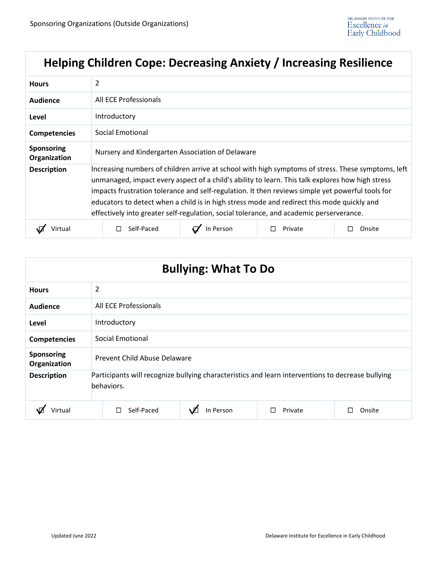# **Helping Children Cope: Decreasing Anxiety / Increasing Resilience**

| <b>Hours</b>               | 2                                                                                                                                                                                                                                                                                                                                                                                                                                                                                                   |           |         |        |  |
|----------------------------|-----------------------------------------------------------------------------------------------------------------------------------------------------------------------------------------------------------------------------------------------------------------------------------------------------------------------------------------------------------------------------------------------------------------------------------------------------------------------------------------------------|-----------|---------|--------|--|
| Audience                   | All ECE Professionals                                                                                                                                                                                                                                                                                                                                                                                                                                                                               |           |         |        |  |
| Level                      | Introductory                                                                                                                                                                                                                                                                                                                                                                                                                                                                                        |           |         |        |  |
| <b>Competencies</b>        | Social Emotional                                                                                                                                                                                                                                                                                                                                                                                                                                                                                    |           |         |        |  |
| Sponsoring<br>Organization | Nursery and Kindergarten Association of Delaware                                                                                                                                                                                                                                                                                                                                                                                                                                                    |           |         |        |  |
| <b>Description</b>         | Increasing numbers of children arrive at school with high symptoms of stress. These symptoms, left<br>unmanaged, impact every aspect of a child's ability to learn. This talk explores how high stress<br>impacts frustration tolerance and self-regulation. It then reviews simple yet powerful tools for<br>educators to detect when a child is in high stress mode and redirect this mode quickly and<br>effectively into greater self-regulation, social tolerance, and academic perserverance. |           |         |        |  |
|                            | Self-Paced                                                                                                                                                                                                                                                                                                                                                                                                                                                                                          | In Person | Private | Onsite |  |

| <b>Bullying: What To Do</b>       |                                                                                                                 |           |         |              |  |  |
|-----------------------------------|-----------------------------------------------------------------------------------------------------------------|-----------|---------|--------------|--|--|
| <b>Hours</b>                      | 2                                                                                                               |           |         |              |  |  |
| Audience                          | All ECE Professionals                                                                                           |           |         |              |  |  |
| Level                             | Introductory                                                                                                    |           |         |              |  |  |
| <b>Competencies</b>               | Social Emotional                                                                                                |           |         |              |  |  |
| <b>Sponsoring</b><br>Organization | Prevent Child Abuse Delaware                                                                                    |           |         |              |  |  |
| <b>Description</b>                | Participants will recognize bullying characteristics and learn interventions to decrease bullying<br>behaviors. |           |         |              |  |  |
| Virtual                           | Self-Paced<br>П                                                                                                 | In Person | Private | Onsite<br>ΙI |  |  |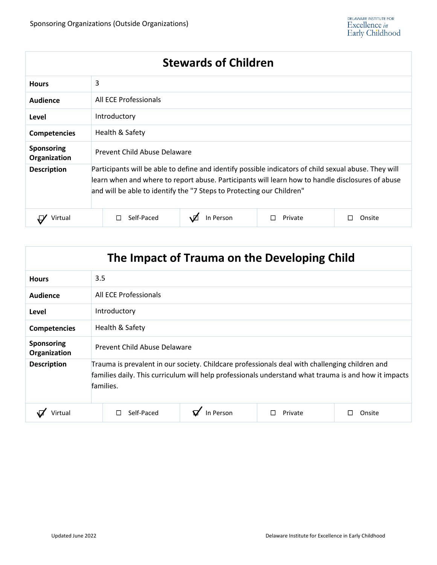| <b>Stewards of Children</b>       |                                                                                                                                                                                                                                                                                    |           |         |             |  |
|-----------------------------------|------------------------------------------------------------------------------------------------------------------------------------------------------------------------------------------------------------------------------------------------------------------------------------|-----------|---------|-------------|--|
| <b>Hours</b>                      | 3                                                                                                                                                                                                                                                                                  |           |         |             |  |
| Audience                          | All ECE Professionals                                                                                                                                                                                                                                                              |           |         |             |  |
| Level                             | Introductory                                                                                                                                                                                                                                                                       |           |         |             |  |
| <b>Competencies</b>               | Health & Safety                                                                                                                                                                                                                                                                    |           |         |             |  |
| <b>Sponsoring</b><br>Organization | Prevent Child Abuse Delaware                                                                                                                                                                                                                                                       |           |         |             |  |
| <b>Description</b>                | Participants will be able to define and identify possible indicators of child sexual abuse. They will<br>learn when and where to report abuse. Participants will learn how to handle disclosures of abuse<br>and will be able to identify the "7 Steps to Protecting our Children" |           |         |             |  |
| Virtual                           | Self-Paced<br>L                                                                                                                                                                                                                                                                    | In Person | Private | Onsite<br>П |  |

| The Impact of Trauma on the Developing Child |                                                                                                                                                                                                                     |           |         |        |  |  |
|----------------------------------------------|---------------------------------------------------------------------------------------------------------------------------------------------------------------------------------------------------------------------|-----------|---------|--------|--|--|
| <b>Hours</b>                                 | 3.5                                                                                                                                                                                                                 |           |         |        |  |  |
| Audience                                     | All ECE Professionals                                                                                                                                                                                               |           |         |        |  |  |
| Level                                        | Introductory                                                                                                                                                                                                        |           |         |        |  |  |
| <b>Competencies</b>                          | Health & Safety                                                                                                                                                                                                     |           |         |        |  |  |
| <b>Sponsoring</b><br>Organization            | Prevent Child Abuse Delaware                                                                                                                                                                                        |           |         |        |  |  |
| <b>Description</b>                           | Trauma is prevalent in our society. Childcare professionals deal with challenging children and<br>families daily. This curriculum will help professionals understand what trauma is and how it impacts<br>families. |           |         |        |  |  |
| Virtual                                      | Self-Paced<br>L                                                                                                                                                                                                     | In Person | Private | Onsite |  |  |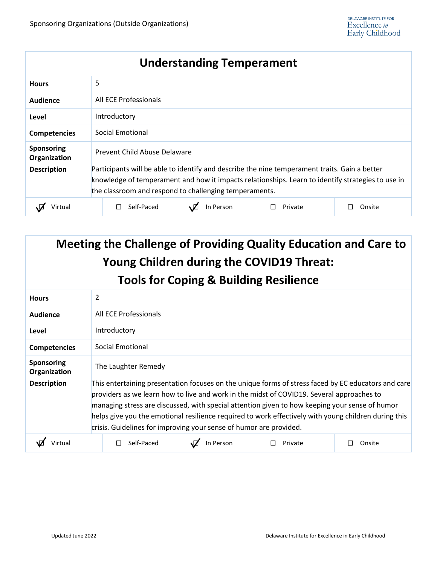# **Understanding Temperament**

| <b>Hours</b>                      | 5                                                                                                                                                                                                                                                            |  |  |  |
|-----------------------------------|--------------------------------------------------------------------------------------------------------------------------------------------------------------------------------------------------------------------------------------------------------------|--|--|--|
| Audience                          | All ECE Professionals                                                                                                                                                                                                                                        |  |  |  |
| Level                             | Introductory                                                                                                                                                                                                                                                 |  |  |  |
| <b>Competencies</b>               | Social Emotional                                                                                                                                                                                                                                             |  |  |  |
| <b>Sponsoring</b><br>Organization | Prevent Child Abuse Delaware                                                                                                                                                                                                                                 |  |  |  |
| <b>Description</b>                | Participants will be able to identify and describe the nine temperament traits. Gain a better<br>knowledge of temperament and how it impacts relationships. Learn to identify strategies to use in<br>the classroom and respond to challenging temperaments. |  |  |  |
| Virtual                           | Self-Paced<br>In Person<br>Private<br>Onsite                                                                                                                                                                                                                 |  |  |  |

| Meeting the Challenge of Providing Quality Education and Care to<br><b>Young Children during the COVID19 Threat:</b> |                                                                                                                                                                                                                                                                                                                                                                                                                                                                                  |           |         |        |  |  |  |
|----------------------------------------------------------------------------------------------------------------------|----------------------------------------------------------------------------------------------------------------------------------------------------------------------------------------------------------------------------------------------------------------------------------------------------------------------------------------------------------------------------------------------------------------------------------------------------------------------------------|-----------|---------|--------|--|--|--|
| <b>Tools for Coping &amp; Building Resilience</b>                                                                    |                                                                                                                                                                                                                                                                                                                                                                                                                                                                                  |           |         |        |  |  |  |
| <b>Hours</b>                                                                                                         | 2                                                                                                                                                                                                                                                                                                                                                                                                                                                                                |           |         |        |  |  |  |
| <b>Audience</b>                                                                                                      | All ECE Professionals                                                                                                                                                                                                                                                                                                                                                                                                                                                            |           |         |        |  |  |  |
| Level                                                                                                                | Introductory                                                                                                                                                                                                                                                                                                                                                                                                                                                                     |           |         |        |  |  |  |
| Competencies                                                                                                         | <b>Social Emotional</b>                                                                                                                                                                                                                                                                                                                                                                                                                                                          |           |         |        |  |  |  |
| <b>Sponsoring</b><br>Organization                                                                                    | The Laughter Remedy                                                                                                                                                                                                                                                                                                                                                                                                                                                              |           |         |        |  |  |  |
| <b>Description</b>                                                                                                   | This entertaining presentation focuses on the unique forms of stress faced by EC educators and care<br>providers as we learn how to live and work in the midst of COVID19. Several approaches to<br>managing stress are discussed, with special attention given to how keeping your sense of humor<br>helps give you the emotional resilience required to work effectively with young children during this<br>crisis. Guidelines for improving your sense of humor are provided. |           |         |        |  |  |  |
|                                                                                                                      | Self-Paced                                                                                                                                                                                                                                                                                                                                                                                                                                                                       | In Person | Private | Onsite |  |  |  |